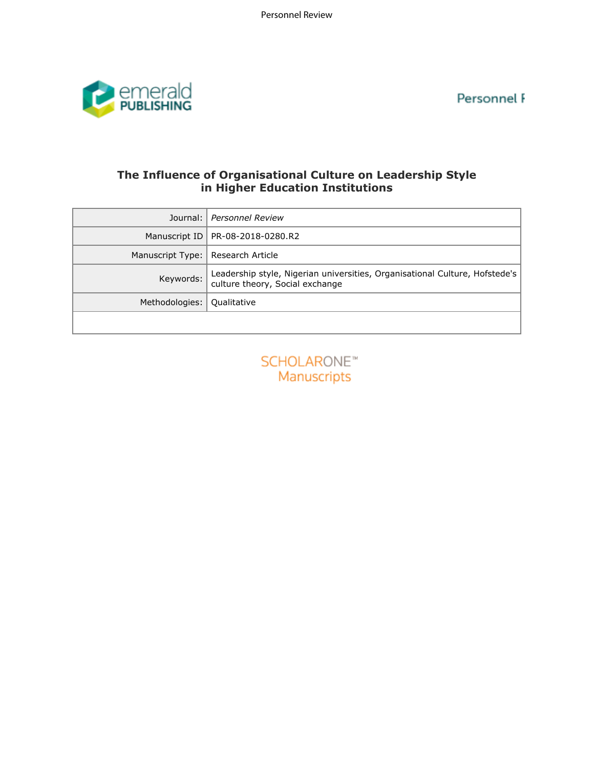Personnel F



## **The Influence of Organisational Culture on Leadership Style in Higher Education Institutions**

| Journal:         | <b>Personnel Review</b>                                                                                        |
|------------------|----------------------------------------------------------------------------------------------------------------|
| Manuscript ID    | PR-08-2018-0280.R2                                                                                             |
| Manuscript Type: | Research Article                                                                                               |
| Keywords:        | Leadership style, Nigerian universities, Organisational Culture, Hofstede's<br>culture theory, Social exchange |
| Methodologies:   | Qualitative                                                                                                    |
|                  |                                                                                                                |
|                  | <b>SCHOLARONE™</b><br>Manuscripts                                                                              |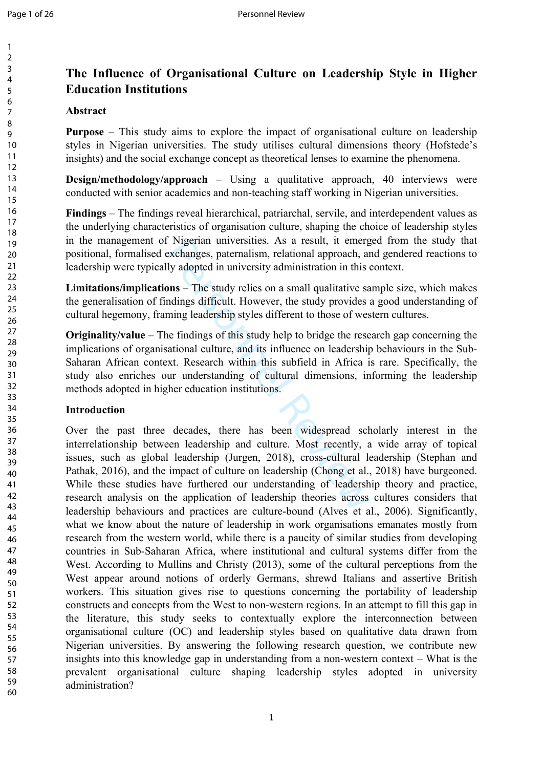# **The Influence of Organisational Culture on Leadership Style in Higher Education Institutions**

#### **Abstract**

**Purpose** – This study aims to explore the impact of organisational culture on leadership styles in Nigerian universities. The study utilises cultural dimensions theory (Hofstede's insights) and the social exchange concept as theoretical lenses to examine the phenomena.

**Design/methodology/approach** – Using a qualitative approach, 40 interviews were conducted with senior academics and non-teaching staff working in Nigerian universities.

**Findings** – The findings reveal hierarchical, patriarchal, servile, and interdependent values as the underlying characteristics of organisation culture, shaping the choice of leadership styles in the management of Nigerian universities. As a result, it emerged from the study that positional, formalised exchanges, paternalism, relational approach, and gendered reactions to leadership were typically adopted in university administration in this context.

**Limitations/implications** – The study relies on a small qualitative sample size, which makes the generalisation of findings difficult. However, the study provides a good understanding of cultural hegemony, framing leadership styles different to those of western cultures.

**Originality/value** – The findings of this study help to bridge the research gap concerning the implications of organisational culture, and its influence on leadership behaviours in the Sub-Saharan African context. Research within this subfield in Africa is rare. Specifically, the study also enriches our understanding of cultural dimensions, informing the leadership methods adopted in higher education institutions.

### **Introduction**

Nigerian universities. As a result, it emergenchanges, paternalism, relational approach, and ly adopted in university administration in this ons – The study relies on a small qualitative sandings difficult. However, the st Over the past three decades, there has been widespread scholarly interest in the interrelationship between leadership and culture. Most recently, a wide array of topical issues, such as global leadership (Jurgen, 2018), cross-cultural leadership (Stephan and Pathak, 2016), and the impact of culture on leadership (Chong et al., 2018) have burgeoned. While these studies have furthered our understanding of leadership theory and practice, research analysis on the application of leadership theories across cultures considers that leadership behaviours and practices are culture-bound (Alves et al., 2006). Significantly, what we know about the nature of leadership in work organisations emanates mostly from research from the western world, while there is a paucity of similar studies from developing countries in Sub-Saharan Africa, where institutional and cultural systems differ from the West. According to Mullins and Christy (2013), some of the cultural perceptions from the West appear around notions of orderly Germans, shrewd Italians and assertive British workers. This situation gives rise to questions concerning the portability of leadership constructs and concepts from the West to non-western regions. In an attempt to fill this gap in the literature, this study seeks to contextually explore the interconnection between organisational culture (OC) and leadership styles based on qualitative data drawn from Nigerian universities. By answering the following research question, we contribute new insights into this knowledge gap in understanding from a non-western context – What is the prevalent organisational culture shaping leadership styles adopted in university administration?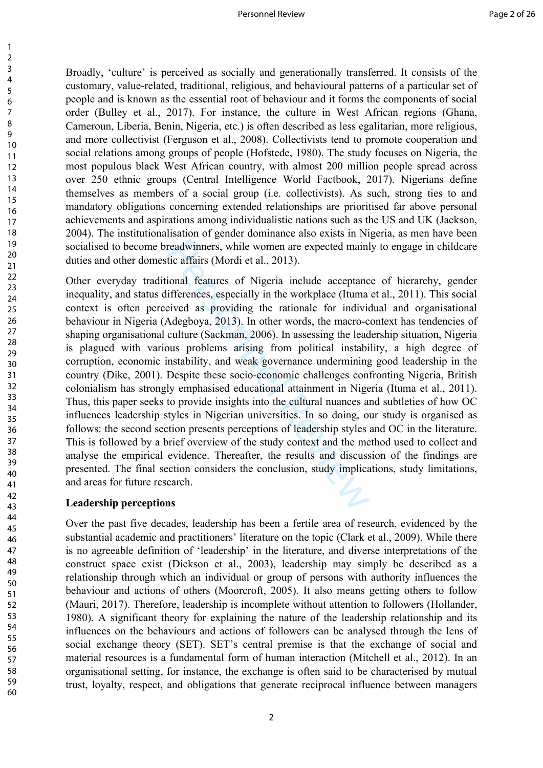Broadly, 'culture' is perceived as socially and generationally transferred. It consists of the customary, value-related, traditional, religious, and behavioural patterns of a particular set of people and is known as the essential root of behaviour and it forms the components of social order (Bulley et al., 2017). For instance, the culture in West African regions (Ghana, Cameroun, Liberia, Benin, Nigeria, etc.) is often described as less egalitarian, more religious, and more collectivist (Ferguson et al., 2008). Collectivists tend to promote cooperation and social relations among groups of people (Hofstede, 1980). The study focuses on Nigeria, the most populous black West African country, with almost 200 million people spread across over 250 ethnic groups (Central Intelligence World Factbook, 2017). Nigerians define themselves as members of a social group (i.e. collectivists). As such, strong ties to and mandatory obligations concerning extended relationships are prioritised far above personal achievements and aspirations among individualistic nations such as the US and UK (Jackson, 2004). The institutionalisation of gender dominance also exists in Nigeria, as men have been socialised to become breadwinners, while women are expected mainly to engage in childcare duties and other domestic affairs (Mordi et al., 2013).

readwinners, while women are expected mainl<br>tic affairs (Mordi et al., 2013).<br>ional features of Nigeria include acceptanc<br>ifferences, especially in the workplace (Ituma<br>eived as providing the rationale for indivio<br>Adegboya Other everyday traditional features of Nigeria include acceptance of hierarchy, gender inequality, and status differences, especially in the workplace (Ituma et al., 2011). This social context is often perceived as providing the rationale for individual and organisational behaviour in Nigeria (Adegboya, 2013). In other words, the macro-context has tendencies of shaping organisational culture (Sackman, 2006). In assessing the leadership situation, Nigeria is plagued with various problems arising from political instability, a high degree of corruption, economic instability, and weak governance undermining good leadership in the country (Dike, 2001). Despite these socio-economic challenges confronting Nigeria, British colonialism has strongly emphasised educational attainment in Nigeria (Ituma et al., 2011). Thus, this paper seeks to provide insights into the cultural nuances and subtleties of how OC influences leadership styles in Nigerian universities. In so doing, our study is organised as follows: the second section presents perceptions of leadership styles and OC in the literature. This is followed by a brief overview of the study context and the method used to collect and analyse the empirical evidence. Thereafter, the results and discussion of the findings are presented. The final section considers the conclusion, study implications, study limitations, and areas for future research.

### **Leadership perceptions**

Over the past five decades, leadership has been a fertile area of research, evidenced by the substantial academic and practitioners' literature on the topic (Clark et al., 2009). While there is no agreeable definition of 'leadership' in the literature, and diverse interpretations of the construct space exist (Dickson et al., 2003), leadership may simply be described as a relationship through which an individual or group of persons with authority influences the behaviour and actions of others (Moorcroft, 2005). It also means getting others to follow (Mauri, 2017). Therefore, leadership is incomplete without attention to followers (Hollander, 1980). A significant theory for explaining the nature of the leadership relationship and its influences on the behaviours and actions of followers can be analysed through the lens of social exchange theory (SET). SET's central premise is that the exchange of social and material resources is a fundamental form of human interaction (Mitchell et al., 2012). In an organisational setting, for instance, the exchange is often said to be characterised by mutual trust, loyalty, respect, and obligations that generate reciprocal influence between managers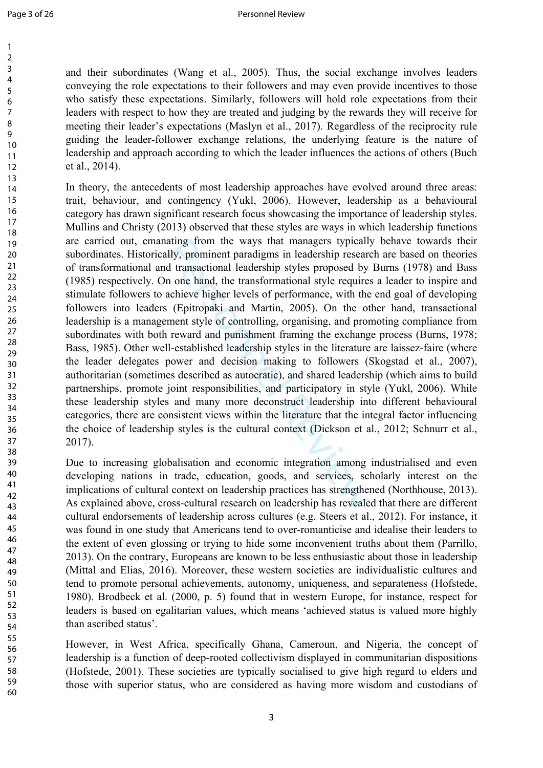> 58 59 60

and their subordinates (Wang et al., 2005). Thus, the social exchange involves leaders conveying the role expectations to their followers and may even provide incentives to those who satisfy these expectations. Similarly, followers will hold role expectations from their leaders with respect to how they are treated and judging by the rewards they will receive for meeting their leader's expectations (Maslyn et al., 2017). Regardless of the reciprocity rule guiding the leader-follower exchange relations, the underlying feature is the nature of leadership and approach according to which the leader influences the actions of others (Buch et al., 2014).

ating from the ways that managers typicall<br>Ily, prominent paradigms in leadership researd<br>d transactional leadership styles proposed by<br>n one hand, the transformational style require:<br>achieve higher levels of performance, In theory, the antecedents of most leadership approaches have evolved around three areas: trait, behaviour, and contingency (Yukl, 2006). However, leadership as a behavioural category has drawn significant research focus showcasing the importance of leadership styles. Mullins and Christy (2013) observed that these styles are ways in which leadership functions are carried out, emanating from the ways that managers typically behave towards their subordinates. Historically, prominent paradigms in leadership research are based on theories of transformational and transactional leadership styles proposed by Burns (1978) and Bass (1985) respectively. On one hand, the transformational style requires a leader to inspire and stimulate followers to achieve higher levels of performance, with the end goal of developing followers into leaders (Epitropaki and Martin, 2005). On the other hand, transactional leadership is a management style of controlling, organising, and promoting compliance from subordinates with both reward and punishment framing the exchange process (Burns, 1978; Bass, 1985). Other well-established leadership styles in the literature are laissez-faire (where the leader delegates power and decision making to followers (Skogstad et al., 2007), authoritarian (sometimes described as autocratic), and shared leadership (which aims to build partnerships, promote joint responsibilities, and participatory in style (Yukl, 2006). While these leadership styles and many more deconstruct leadership into different behavioural categories, there are consistent views within the literature that the integral factor influencing the choice of leadership styles is the cultural context (Dickson et al., 2012; Schnurr et al., 2017).

Due to increasing globalisation and economic integration among industrialised and even developing nations in trade, education, goods, and services, scholarly interest on the implications of cultural context on leadership practices has strengthened (Northhouse, 2013). As explained above, cross-cultural research on leadership has revealed that there are different cultural endorsements of leadership across cultures (e.g. Steers et al., 2012). For instance, it was found in one study that Americans tend to over-romanticise and idealise their leaders to the extent of even glossing or trying to hide some inconvenient truths about them (Parrillo, 2013). On the contrary, Europeans are known to be less enthusiastic about those in leadership (Mittal and Elias, 2016). Moreover, these western societies are individualistic cultures and tend to promote personal achievements, autonomy, uniqueness, and separateness (Hofstede, 1980). Brodbeck et al. (2000, p. 5) found that in western Europe, for instance, respect for leaders is based on egalitarian values, which means 'achieved status is valued more highly than ascribed status'.

However, in West Africa, specifically Ghana, Cameroun, and Nigeria, the concept of leadership is a function of deep-rooted collectivism displayed in communitarian dispositions (Hofstede, 2001). These societies are typically socialised to give high regard to elders and those with superior status, who are considered as having more wisdom and custodians of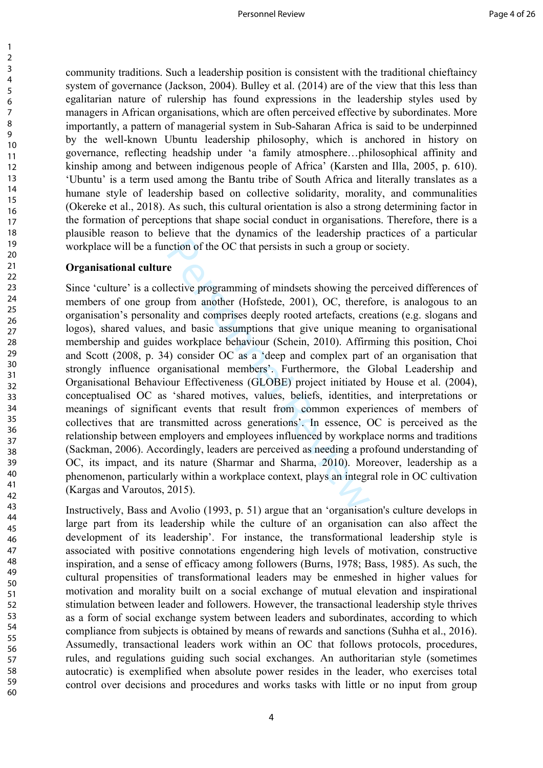community traditions. Such a leadership position is consistent with the traditional chieftaincy system of governance (Jackson, 2004). Bulley et al. (2014) are of the view that this less than egalitarian nature of rulership has found expressions in the leadership styles used by managers in African organisations, which are often perceived effective by subordinates. More importantly, a pattern of managerial system in Sub-Saharan Africa is said to be underpinned by the well-known Ubuntu leadership philosophy, which is anchored in history on governance, reflecting headship under 'a family atmosphere…philosophical affinity and kinship among and between indigenous people of Africa' (Karsten and Illa, 2005, p. 610). 'Ubuntu' is a term used among the Bantu tribe of South Africa and literally translates as a humane style of leadership based on collective solidarity, morality, and communalities (Okereke et al., 2018). As such, this cultural orientation is also a strong determining factor in the formation of perceptions that shape social conduct in organisations. Therefore, there is a plausible reason to believe that the dynamics of the leadership practices of a particular workplace will be a function of the OC that persists in such a group or society.

#### **Organisational culture**

notion of the OC that persists in such a group of<br>
e<br>
e<br>
lective programming of mindsets showing the<br>
p from another (Hofstede, 2001), OC, theref<br>
ity and comprises deeply rooted artefacts, cre<br>
and basic assumptions that Since 'culture' is a collective programming of mindsets showing the perceived differences of members of one group from another (Hofstede, 2001), OC, therefore, is analogous to an organisation's personality and comprises deeply rooted artefacts, creations (e.g. slogans and logos), shared values, and basic assumptions that give unique meaning to organisational membership and guides workplace behaviour (Schein, 2010). Affirming this position, Choi and Scott (2008, p. 34) consider OC as a 'deep and complex part of an organisation that strongly influence organisational members'. Furthermore, the Global Leadership and Organisational Behaviour Effectiveness (GLOBE) project initiated by House et al. (2004), conceptualised OC as 'shared motives, values, beliefs, identities, and interpretations or meanings of significant events that result from common experiences of members of collectives that are transmitted across generations'. In essence, OC is perceived as the relationship between employers and employees influenced by workplace norms and traditions (Sackman, 2006). Accordingly, leaders are perceived as needing a profound understanding of OC, its impact, and its nature (Sharmar and Sharma, 2010). Moreover, leadership as a phenomenon, particularly within a workplace context, plays an integral role in OC cultivation (Kargas and Varoutos, 2015).

Instructively, Bass and Avolio (1993, p. 51) argue that an 'organisation's culture develops in large part from its leadership while the culture of an organisation can also affect the development of its leadership'. For instance, the transformational leadership style is associated with positive connotations engendering high levels of motivation, constructive inspiration, and a sense of efficacy among followers (Burns, 1978; Bass, 1985). As such, the cultural propensities of transformational leaders may be enmeshed in higher values for motivation and morality built on a social exchange of mutual elevation and inspirational stimulation between leader and followers. However, the transactional leadership style thrives as a form of social exchange system between leaders and subordinates, according to which compliance from subjects is obtained by means of rewards and sanctions (Suhha et al., 2016). Assumedly, transactional leaders work within an OC that follows protocols, procedures, rules, and regulations guiding such social exchanges. An authoritarian style (sometimes autocratic) is exemplified when absolute power resides in the leader, who exercises total control over decisions and procedures and works tasks with little or no input from group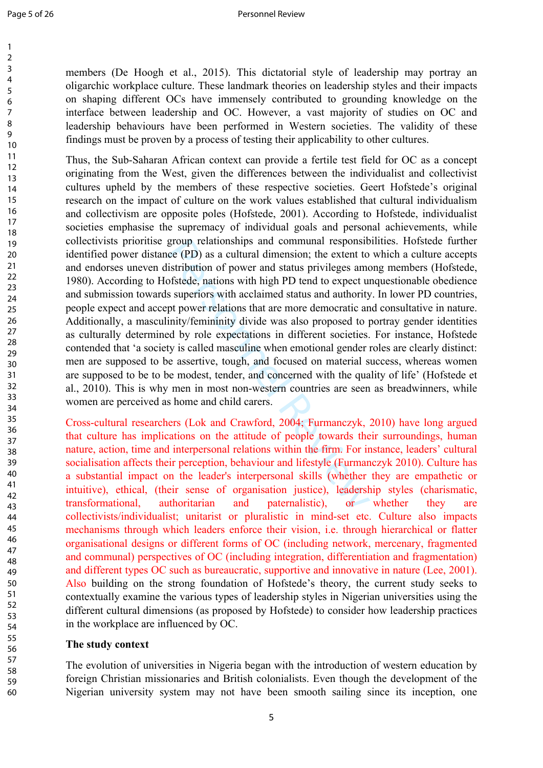$\mathbf{1}$  $\overline{2}$  $\overline{3}$  $\overline{4}$ 5 6  $\overline{7}$ 8 9

members (De Hoogh et al., 2015). This dictatorial style of leadership may portray an oligarchic workplace culture. These landmark theories on leadership styles and their impacts on shaping different OCs have immensely contributed to grounding knowledge on the interface between leadership and OC. However, a vast majority of studies on OC and leadership behaviours have been performed in Western societies. The validity of these findings must be proven by a process of testing their applicability to other cultures.

group relationships and communal responsib<br>ce (PD) as a cultural dimension; the extent to<br>istribution of power and status privileges amo<br>ofstede, nations with high PD tend to expect us<br>superiors with acclaimed status and a Thus, the Sub-Saharan African context can provide a fertile test field for OC as a concept originating from the West, given the differences between the individualist and collectivist cultures upheld by the members of these respective societies. Geert Hofstede's original research on the impact of culture on the work values established that cultural individualism and collectivism are opposite poles (Hofstede, 2001). According to Hofstede, individualist societies emphasise the supremacy of individual goals and personal achievements, while collectivists prioritise group relationships and communal responsibilities. Hofstede further identified power distance (PD) as a cultural dimension; the extent to which a culture accepts and endorses uneven distribution of power and status privileges among members (Hofstede, 1980). According to Hofstede, nations with high PD tend to expect unquestionable obedience and submission towards superiors with acclaimed status and authority. In lower PD countries, people expect and accept power relations that are more democratic and consultative in nature. Additionally, a masculinity/femininity divide was also proposed to portray gender identities as culturally determined by role expectations in different societies. For instance, Hofstede contended that 'a society is called masculine when emotional gender roles are clearly distinct: men are supposed to be assertive, tough, and focused on material success, whereas women are supposed to be to be modest, tender, and concerned with the quality of life' (Hofstede et al., 2010). This is why men in most non-western countries are seen as breadwinners, while women are perceived as home and child carers.

Cross-cultural researchers (Lok and Crawford, 2004; Furmanczyk, 2010) have long argued that culture has implications on the attitude of people towards their surroundings, human nature, action, time and interpersonal relations within the firm. For instance, leaders' cultural socialisation affects their perception, behaviour and lifestyle (Furmanczyk 2010). Culture has a substantial impact on the leader's interpersonal skills (whether they are empathetic or intuitive), ethical, (their sense of organisation justice), leadership styles (charismatic, transformational, authoritarian and paternalistic), or whether they are collectivists/individualist; unitarist or pluralistic in mind-set etc. Culture also impacts mechanisms through which leaders enforce their vision, i.e. through hierarchical or flatter organisational designs or different forms of OC (including network, mercenary, fragmented and communal) perspectives of OC (including integration, differentiation and fragmentation) and different types OC such as bureaucratic, supportive and innovative in nature (Lee, 2001). Also building on the strong foundation of Hofstede's theory, the current study seeks to contextually examine the various types of leadership styles in Nigerian universities using the different cultural dimensions (as proposed by Hofstede) to consider how leadership practices in the workplace are influenced by OC.

#### **The study context**

The evolution of universities in Nigeria began with the introduction of western education by foreign Christian missionaries and British colonialists. Even though the development of the Nigerian university system may not have been smooth sailing since its inception, one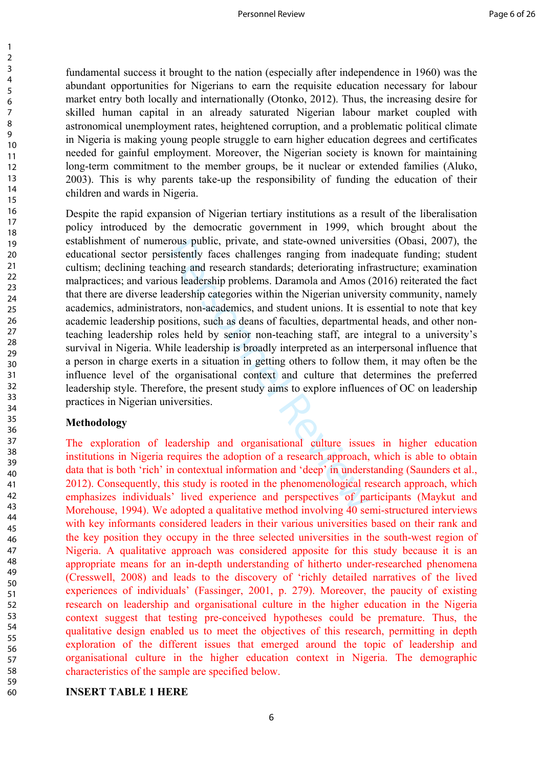fundamental success it brought to the nation (especially after independence in 1960) was the abundant opportunities for Nigerians to earn the requisite education necessary for labour market entry both locally and internationally (Otonko, 2012). Thus, the increasing desire for skilled human capital in an already saturated Nigerian labour market coupled with astronomical unemployment rates, heightened corruption, and a problematic political climate in Nigeria is making young people struggle to earn higher education degrees and certificates needed for gainful employment. Moreover, the Nigerian society is known for maintaining long-term commitment to the member groups, be it nuclear or extended families (Aluko, 2003). This is why parents take-up the responsibility of funding the education of their children and wards in Nigeria.

rous public, private, and state-owned univers<br>sistently faces challenges ranging from inad<br>hing and research standards; deteriorating inf<br>ous leadership problems. Daramola and Amos (<br>adership categories within the Nigerian Despite the rapid expansion of Nigerian tertiary institutions as a result of the liberalisation policy introduced by the democratic government in 1999, which brought about the establishment of numerous public, private, and state-owned universities (Obasi, 2007), the educational sector persistently faces challenges ranging from inadequate funding; student cultism; declining teaching and research standards; deteriorating infrastructure; examination malpractices; and various leadership problems. Daramola and Amos (2016) reiterated the fact that there are diverse leadership categories within the Nigerian university community, namely academics, administrators, non-academics, and student unions. It is essential to note that key academic leadership positions, such as deans of faculties, departmental heads, and other nonteaching leadership roles held by senior non-teaching staff, are integral to a university's survival in Nigeria. While leadership is broadly interpreted as an interpersonal influence that a person in charge exerts in a situation in getting others to follow them, it may often be the influence level of the organisational context and culture that determines the preferred leadership style. Therefore, the present study aims to explore influences of OC on leadership practices in Nigerian universities.

#### **Methodology**

The exploration of leadership and organisational culture issues in higher education institutions in Nigeria requires the adoption of a research approach, which is able to obtain data that is both 'rich' in contextual information and 'deep' in understanding (Saunders et al., 2012). Consequently, this study is rooted in the phenomenological research approach, which emphasizes individuals' lived experience and perspectives of participants (Maykut and Morehouse, 1994). We adopted a qualitative method involving 40 semi-structured interviews with key informants considered leaders in their various universities based on their rank and the key position they occupy in the three selected universities in the south-west region of Nigeria. A qualitative approach was considered apposite for this study because it is an appropriate means for an in-depth understanding of hitherto under-researched phenomena (Cresswell, 2008) and leads to the discovery of 'richly detailed narratives of the lived experiences of individuals' (Fassinger, 2001, p. 279). Moreover, the paucity of existing research on leadership and organisational culture in the higher education in the Nigeria context suggest that testing pre-conceived hypotheses could be premature. Thus, the qualitative design enabled us to meet the objectives of this research, permitting in depth exploration of the different issues that emerged around the topic of leadership and organisational culture in the higher education context in Nigeria. The demographic characteristics of the sample are specified below.

#### **INSERT TABLE 1 HERE**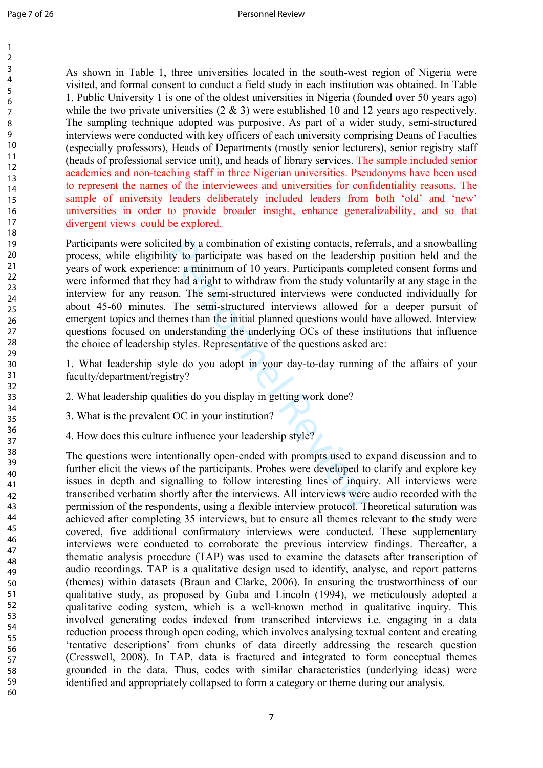As shown in Table 1, three universities located in the south-west region of Nigeria were visited, and formal consent to conduct a field study in each institution was obtained. In Table 1, Public University 1 is one of the oldest universities in Nigeria (founded over 50 years ago) while the two private universities  $(2 \& 3)$  were established 10 and 12 years ago respectively. The sampling technique adopted was purposive. As part of a wider study, semi-structured interviews were conducted with key officers of each university comprising Deans of Faculties (especially professors), Heads of Departments (mostly senior lecturers), senior registry staff (heads of professional service unit), and heads of library services. The sample included senior academics and non-teaching staff in three Nigerian universities. Pseudonyms have been used to represent the names of the interviewees and universities for confidentiality reasons. The sample of university leaders deliberately included leaders from both 'old' and 'new' universities in order to provide broader insight, enhance generalizability, and so that divergent views could be explored.

ited by a combination of existing contacts, referality to participate was based on the leadershice: a minimum of 10 years. Participants compy had a right to withdraw from the study volunon. The semi-structured interviews w Participants were solicited by a combination of existing contacts, referrals, and a snowballing process, while eligibility to participate was based on the leadership position held and the years of work experience: a minimum of 10 years. Participants completed consent forms and were informed that they had a right to withdraw from the study voluntarily at any stage in the interview for any reason. The semi-structured interviews were conducted individually for about 45-60 minutes. The semi-structured interviews allowed for a deeper pursuit of emergent topics and themes than the initial planned questions would have allowed. Interview questions focused on understanding the underlying OCs of these institutions that influence the choice of leadership styles. Representative of the questions asked are:

1. What leadership style do you adopt in your day-to-day running of the affairs of your faculty/department/registry?

- 2. What leadership qualities do you display in getting work done?
- 3. What is the prevalent OC in your institution?
- 4. How does this culture influence your leadership style?

The questions were intentionally open-ended with prompts used to expand discussion and to further elicit the views of the participants. Probes were developed to clarify and explore key issues in depth and signalling to follow interesting lines of inquiry. All interviews were transcribed verbatim shortly after the interviews. All interviews were audio recorded with the permission of the respondents, using a flexible interview protocol. Theoretical saturation was achieved after completing 35 interviews, but to ensure all themes relevant to the study were covered, five additional confirmatory interviews were conducted. These supplementary interviews were conducted to corroborate the previous interview findings. Thereafter, a thematic analysis procedure (TAP) was used to examine the datasets after transcription of audio recordings. TAP is a qualitative design used to identify, analyse, and report patterns (themes) within datasets (Braun and Clarke, 2006). In ensuring the trustworthiness of our qualitative study, as proposed by Guba and Lincoln (1994), we meticulously adopted a qualitative coding system, which is a well-known method in qualitative inquiry. This involved generating codes indexed from transcribed interviews i.e. engaging in a data reduction process through open coding, which involves analysing textual content and creating 'tentative descriptions' from chunks of data directly addressing the research question (Cresswell, 2008). In TAP, data is fractured and integrated to form conceptual themes grounded in the data. Thus, codes with similar characteristics (underlying ideas) were identified and appropriately collapsed to form a category or theme during our analysis.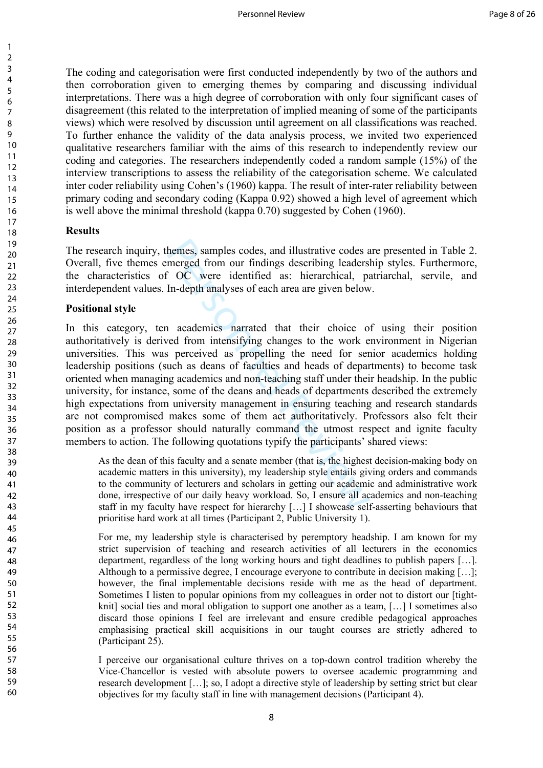The coding and categorisation were first conducted independently by two of the authors and then corroboration given to emerging themes by comparing and discussing individual interpretations. There was a high degree of corroboration with only four significant cases of disagreement (this related to the interpretation of implied meaning of some of the participants views) which were resolved by discussion until agreement on all classifications was reached. To further enhance the validity of the data analysis process, we invited two experienced qualitative researchers familiar with the aims of this research to independently review our coding and categories. The researchers independently coded a random sample (15%) of the interview transcriptions to assess the reliability of the categorisation scheme. We calculated inter coder reliability using Cohen's (1960) kappa. The result of inter-rater reliability between primary coding and secondary coding (Kappa 0.92) showed a high level of agreement which is well above the minimal threshold (kappa 0.70) suggested by Cohen (1960).

### **Results**

The research inquiry, themes, samples codes, and illustrative codes are presented in Table 2. Overall, five themes emerged from our findings describing leadership styles. Furthermore, the characteristics of OC were identified as: hierarchical, patriarchal, servile, and interdependent values. In-depth analyses of each area are given below.

### **Positional style**

hemes, samples codes, and illustrative codes a<br>merged from our findings describing leaders<br>
<sup>2</sup> OC were identified as: hierarchical, pa<br>
In-depth analyses of each area are given below<br>
<sup>1</sup><br>
<sup>1</sup> academics narrated that thei In this category, ten academics narrated that their choice of using their position authoritatively is derived from intensifying changes to the work environment in Nigerian universities. This was perceived as propelling the need for senior academics holding leadership positions (such as deans of faculties and heads of departments) to become task oriented when managing academics and non-teaching staff under their headship. In the public university, for instance, some of the deans and heads of departments described the extremely high expectations from university management in ensuring teaching and research standards are not compromised makes some of them act authoritatively. Professors also felt their position as a professor should naturally command the utmost respect and ignite faculty members to action. The following quotations typify the participants' shared views:

As the dean of this faculty and a senate member (that is, the highest decision-making body on academic matters in this university), my leadership style entails giving orders and commands to the community of lecturers and scholars in getting our academic and administrative work done, irrespective of our daily heavy workload. So, I ensure all academics and non-teaching staff in my faculty have respect for hierarchy […] I showcase self-asserting behaviours that prioritise hard work at all times (Participant 2, Public University 1).

For me, my leadership style is characterised by peremptory headship. I am known for my strict supervision of teaching and research activities of all lecturers in the economics department, regardless of the long working hours and tight deadlines to publish papers […]. Although to a permissive degree, I encourage everyone to contribute in decision making […]; however, the final implementable decisions reside with me as the head of department. Sometimes I listen to popular opinions from my colleagues in order not to distort our [tightknit] social ties and moral obligation to support one another as a team, […] I sometimes also discard those opinions I feel are irrelevant and ensure credible pedagogical approaches emphasising practical skill acquisitions in our taught courses are strictly adhered to (Participant 25).

I perceive our organisational culture thrives on a top-down control tradition whereby the Vice-Chancellor is vested with absolute powers to oversee academic programming and research development […]; so, I adopt a directive style of leadership by setting strict but clear objectives for my faculty staff in line with management decisions (Participant 4).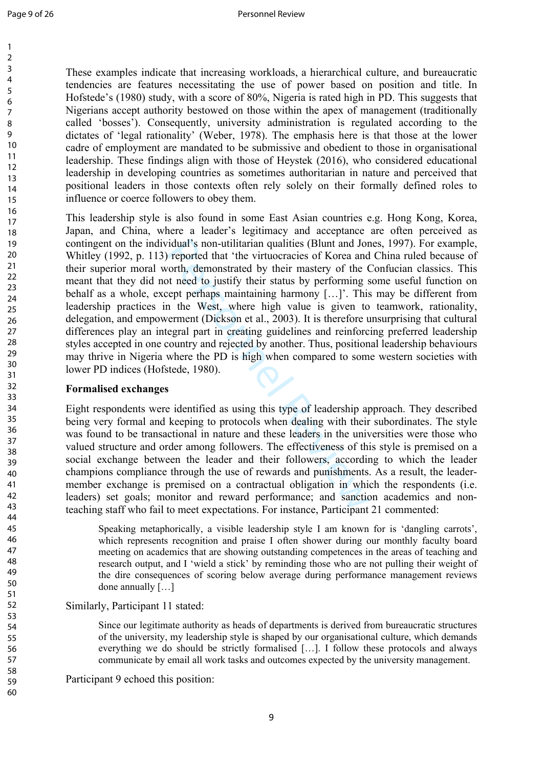These examples indicate that increasing workloads, a hierarchical culture, and bureaucratic tendencies are features necessitating the use of power based on position and title. In Hofstede's (1980) study, with a score of 80%, Nigeria is rated high in PD. This suggests that Nigerians accept authority bestowed on those within the apex of management (traditionally called 'bosses'). Consequently, university administration is regulated according to the dictates of 'legal rationality' (Weber, 1978). The emphasis here is that those at the lower cadre of employment are mandated to be submissive and obedient to those in organisational leadership. These findings align with those of Heystek (2016), who considered educational leadership in developing countries as sometimes authoritarian in nature and perceived that positional leaders in those contexts often rely solely on their formally defined roles to influence or coerce followers to obey them.

idual's non-utilitarian qualities (Blunt and Jor<br>reported that 'the virtuocracies of Korea and<br>vorth, demonstrated by their mastery of the C<br>ot need to justify their status by performing s<br>ept perhaps maintaining harmony [ This leadership style is also found in some East Asian countries e.g. Hong Kong, Korea, Japan, and China, where a leader's legitimacy and acceptance are often perceived as contingent on the individual's non-utilitarian qualities (Blunt and Jones, 1997). For example, Whitley (1992, p. 113) reported that 'the virtuocracies of Korea and China ruled because of their superior moral worth, demonstrated by their mastery of the Confucian classics. This meant that they did not need to justify their status by performing some useful function on behalf as a whole, except perhaps maintaining harmony […]'. This may be different from leadership practices in the West, where high value is given to teamwork, rationality, delegation, and empowerment (Dickson et al., 2003). It is therefore unsurprising that cultural differences play an integral part in creating guidelines and reinforcing preferred leadership styles accepted in one country and rejected by another. Thus, positional leadership behaviours may thrive in Nigeria where the PD is high when compared to some western societies with lower PD indices (Hofstede, 1980).

### **Formalised exchanges**

Eight respondents were identified as using this type of leadership approach. They described being very formal and keeping to protocols when dealing with their subordinates. The style was found to be transactional in nature and these leaders in the universities were those who valued structure and order among followers. The effectiveness of this style is premised on a social exchange between the leader and their followers, according to which the leader champions compliance through the use of rewards and punishments. As a result, the leadermember exchange is premised on a contractual obligation in which the respondents (i.e. leaders) set goals; monitor and reward performance; and sanction academics and nonteaching staff who fail to meet expectations. For instance, Participant 21 commented:

Speaking metaphorically, a visible leadership style I am known for is 'dangling carrots', which represents recognition and praise I often shower during our monthly faculty board meeting on academics that are showing outstanding competences in the areas of teaching and research output, and I 'wield a stick' by reminding those who are not pulling their weight of the dire consequences of scoring below average during performance management reviews done annually […]

Similarly, Participant 11 stated:

Since our legitimate authority as heads of departments is derived from bureaucratic structures of the university, my leadership style is shaped by our organisational culture, which demands everything we do should be strictly formalised […]. I follow these protocols and always communicate by email all work tasks and outcomes expected by the university management.

Participant 9 echoed this position: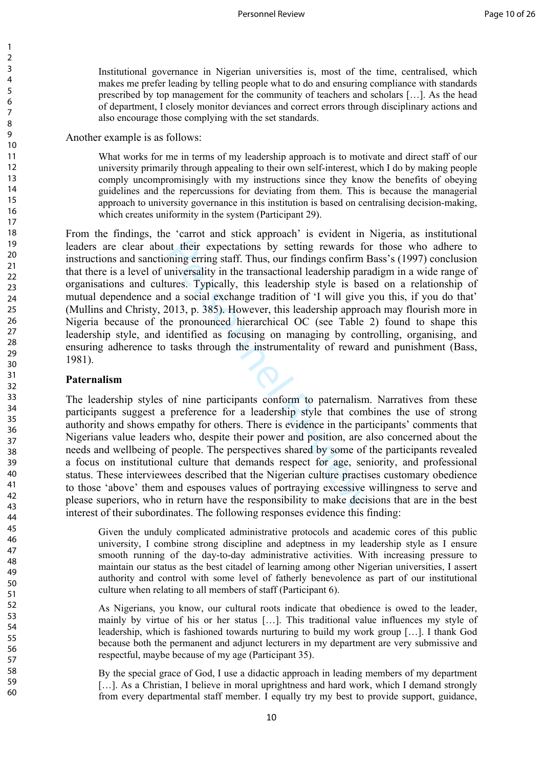Institutional governance in Nigerian universities is, most of the time, centralised, which makes me prefer leading by telling people what to do and ensuring compliance with standards prescribed by top management for the community of teachers and scholars […]. As the head of department, I closely monitor deviances and correct errors through disciplinary actions and also encourage those complying with the set standards.

Another example is as follows:

What works for me in terms of my leadership approach is to motivate and direct staff of our university primarily through appealing to their own self-interest, which I do by making people comply uncompromisingly with my instructions since they know the benefits of obeying guidelines and the repercussions for deviating from them. This is because the managerial approach to university governance in this institution is based on centralising decision-making, which creates uniformity in the system (Participant 29).

ut their expectations by setting rewards for<br>poing erring staff. Thus, our findings confirm I<br>miversality in the transactional leadership para<br>ures. Typically, this leadership style is based a social exchange tradition of From the findings, the 'carrot and stick approach' is evident in Nigeria, as institutional leaders are clear about their expectations by setting rewards for those who adhere to instructions and sanctioning erring staff. Thus, our findings confirm Bass's (1997) conclusion that there is a level of universality in the transactional leadership paradigm in a wide range of organisations and cultures. Typically, this leadership style is based on a relationship of mutual dependence and a social exchange tradition of 'I will give you this, if you do that' (Mullins and Christy, 2013, p. 385). However, this leadership approach may flourish more in Nigeria because of the pronounced hierarchical OC (see Table 2) found to shape this leadership style, and identified as focusing on managing by controlling, organising, and ensuring adherence to tasks through the instrumentality of reward and punishment (Bass, 1981).

#### **Paternalism**

The leadership styles of nine participants conform to paternalism. Narratives from these participants suggest a preference for a leadership style that combines the use of strong authority and shows empathy for others. There is evidence in the participants' comments that Nigerians value leaders who, despite their power and position, are also concerned about the needs and wellbeing of people. The perspectives shared by some of the participants revealed a focus on institutional culture that demands respect for age, seniority, and professional status. These interviewees described that the Nigerian culture practises customary obedience to those 'above' them and espouses values of portraying excessive willingness to serve and please superiors, who in return have the responsibility to make decisions that are in the best interest of their subordinates. The following responses evidence this finding:

Given the unduly complicated administrative protocols and academic cores of this public university, I combine strong discipline and adeptness in my leadership style as I ensure smooth running of the day-to-day administrative activities. With increasing pressure to maintain our status as the best citadel of learning among other Nigerian universities, I assert authority and control with some level of fatherly benevolence as part of our institutional culture when relating to all members of staff (Participant 6).

As Nigerians, you know, our cultural roots indicate that obedience is owed to the leader, mainly by virtue of his or her status […]. This traditional value influences my style of leadership, which is fashioned towards nurturing to build my work group […]. I thank God because both the permanent and adjunct lecturers in my department are very submissive and respectful, maybe because of my age (Participant 35).

By the special grace of God, I use a didactic approach in leading members of my department [...]. As a Christian, I believe in moral uprightness and hard work, which I demand strongly from every departmental staff member. I equally try my best to provide support, guidance,

 $\mathbf{1}$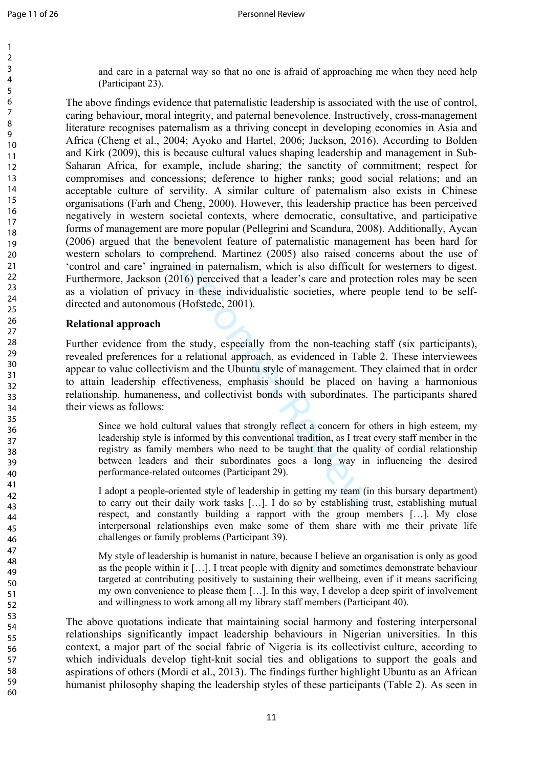$\mathbf{1}$  $\overline{2}$  $\overline{3}$  $\overline{4}$ 5 6  $\overline{7}$ 8 9

and care in a paternal way so that no one is afraid of approaching me when they need help (Participant 23).

The above findings evidence that paternalistic leadership is associated with the use of control, caring behaviour, moral integrity, and paternal benevolence. Instructively, cross-management literature recognises paternalism as a thriving concept in developing economies in Asia and Africa (Cheng et al., 2004; Ayoko and Hartel, 2006; Jackson, 2016). According to Bolden and Kirk (2009), this is because cultural values shaping leadership and management in Sub-Saharan Africa, for example, include sharing; the sanctity of commitment; respect for compromises and concessions; deference to higher ranks; good social relations; and an acceptable culture of servility. A similar culture of paternalism also exists in Chinese organisations (Farh and Cheng, 2000). However, this leadership practice has been perceived negatively in western societal contexts, where democratic, consultative, and participative forms of management are more popular (Pellegrini and Scandura, 2008). Additionally, Aycan (2006) argued that the benevolent feature of paternalistic management has been hard for western scholars to comprehend. Martinez (2005) also raised concerns about the use of 'control and care' ingrained in paternalism, which is also difficult for westerners to digest. Furthermore, Jackson (2016) perceived that a leader's care and protection roles may be seen as a violation of privacy in these individualistic societies, where people tend to be selfdirected and autonomous (Hofstede, 2001).

### **Relational approach**

Example 10 parameter of paternalistic manager<br>
expongance of paternalism, which is also difficult 1<br>
2016) perceived that a leader's care and prote<br>
acy in these individualistic societies, where<br>
us (Hofstede, 2001).<br>
the Further evidence from the study, especially from the non-teaching staff (six participants), revealed preferences for a relational approach, as evidenced in Table 2. These interviewees appear to value collectivism and the Ubuntu style of management. They claimed that in order to attain leadership effectiveness, emphasis should be placed on having a harmonious relationship, humaneness, and collectivist bonds with subordinates. The participants shared their views as follows:

Since we hold cultural values that strongly reflect a concern for others in high esteem, my leadership style is informed by this conventional tradition, as I treat every staff member in the registry as family members who need to be taught that the quality of cordial relationship between leaders and their subordinates goes a long way in influencing the desired performance-related outcomes (Participant 29).

I adopt a people-oriented style of leadership in getting my team (in this bursary department) to carry out their daily work tasks […]. I do so by establishing trust, establishing mutual respect, and constantly building a rapport with the group members […]. My close interpersonal relationships even make some of them share with me their private life challenges or family problems (Participant 39).

My style of leadership is humanist in nature, because I believe an organisation is only as good as the people within it […]. I treat people with dignity and sometimes demonstrate behaviour targeted at contributing positively to sustaining their wellbeing, even if it means sacrificing my own convenience to please them […]. In this way, I develop a deep spirit of involvement and willingness to work among all my library staff members (Participant 40).

The above quotations indicate that maintaining social harmony and fostering interpersonal relationships significantly impact leadership behaviours in Nigerian universities. In this context, a major part of the social fabric of Nigeria is its collectivist culture, according to which individuals develop tight-knit social ties and obligations to support the goals and aspirations of others (Mordi et al., 2013). The findings further highlight Ubuntu as an African humanist philosophy shaping the leadership styles of these participants (Table 2). As seen in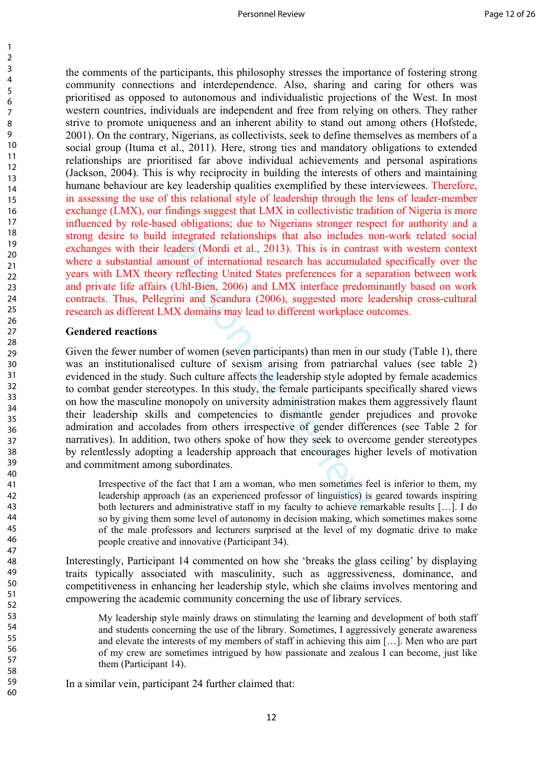the comments of the participants, this philosophy stresses the importance of fostering strong community connections and interdependence. Also, sharing and caring for others was prioritised as opposed to autonomous and individualistic projections of the West. In most western countries, individuals are independent and free from relying on others. They rather strive to promote uniqueness and an inherent ability to stand out among others (Hofstede, 2001). On the contrary, Nigerians, as collectivists, seek to define themselves as members of a social group (Ituma et al., 2011). Here, strong ties and mandatory obligations to extended relationships are prioritised far above individual achievements and personal aspirations (Jackson, 2004). This is why reciprocity in building the interests of others and maintaining humane behaviour are key leadership qualities exemplified by these interviewees. Therefore, in assessing the use of this relational style of leadership through the lens of leader-member exchange (LMX), our findings suggest that LMX in collectivistic tradition of Nigeria is more influenced by role-based obligations; due to Nigerians stronger respect for authority and a strong desire to build integrated relationships that also includes non-work related social exchanges with their leaders (Mordi et al., 2013). This is in contrast with western context where a substantial amount of international research has accumulated specifically over the years with LMX theory reflecting United States preferences for a separation between work and private life affairs (Uhl-Bien, 2006) and LMX interface predominantly based on work contracts. Thus, Pellegrini and Scandura (2006), suggested more leadership cross-cultural research as different LMX domains may lead to different workplace outcomes.

#### **Gendered reactions**

123456789

 $\mathbf{1}$  $\overline{2}$  $\overline{3}$  $\overline{4}$ 5 6  $\overline{7}$ 8 9

eaders (Mordi et al., 2013). This is in contra<br>eaders (Mordi et al., 2013). This is in contra<br>nount of international research has accumulaty reflecting United States preferences for a s<br>(Uhl-Bien, 2006) and LMX interface p Given the fewer number of women (seven participants) than men in our study (Table 1), there was an institutionalised culture of sexism arising from patriarchal values (see table 2) evidenced in the study. Such culture affects the leadership style adopted by female academics to combat gender stereotypes. In this study, the female participants specifically shared views on how the masculine monopoly on university administration makes them aggressively flaunt their leadership skills and competencies to dismantle gender prejudices and provoke admiration and accolades from others irrespective of gender differences (see Table 2 for narratives). In addition, two others spoke of how they seek to overcome gender stereotypes by relentlessly adopting a leadership approach that encourages higher levels of motivation and commitment among subordinates.

Irrespective of the fact that I am a woman, who men sometimes feel is inferior to them, my leadership approach (as an experienced professor of linguistics) is geared towards inspiring both lecturers and administrative staff in my faculty to achieve remarkable results […]. I do so by giving them some level of autonomy in decision making, which sometimes makes some of the male professors and lecturers surprised at the level of my dogmatic drive to make people creative and innovative (Participant 34).

Interestingly, Participant 14 commented on how she 'breaks the glass ceiling' by displaying traits typically associated with masculinity, such as aggressiveness, dominance, and competitiveness in enhancing her leadership style, which she claims involves mentoring and empowering the academic community concerning the use of library services.

My leadership style mainly draws on stimulating the learning and development of both staff and students concerning the use of the library. Sometimes, I aggressively generate awareness and elevate the interests of my members of staff in achieving this aim […]. Men who are part of my crew are sometimes intrigued by how passionate and zealous I can become, just like them (Participant 14).

In a similar vein, participant 24 further claimed that: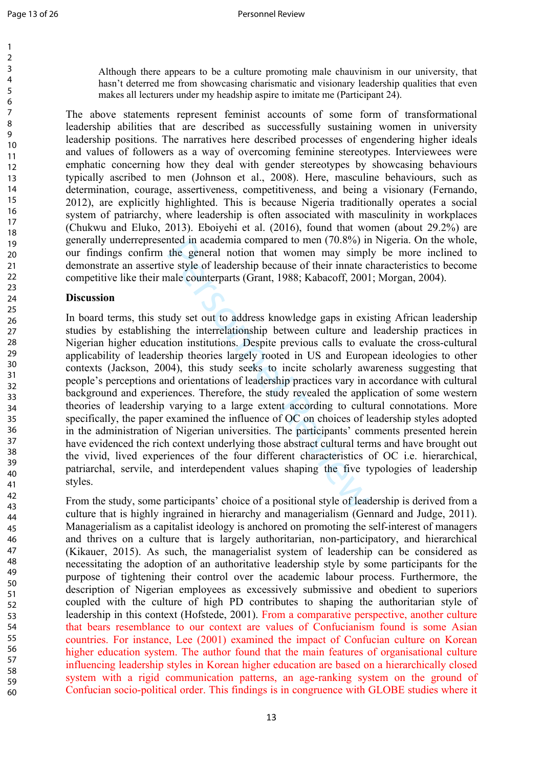$\mathbf{1}$  $\overline{2}$  $\overline{3}$  $\overline{4}$ 5 6  $\overline{7}$ 8 9

Although there appears to be a culture promoting male chauvinism in our university, that hasn't deterred me from showcasing charismatic and visionary leadership qualities that even makes all lecturers under my headship aspire to imitate me (Participant 24).

The above statements represent feminist accounts of some form of transformational leadership abilities that are described as successfully sustaining women in university leadership positions. The narratives here described processes of engendering higher ideals and values of followers as a way of overcoming feminine stereotypes. Interviewees were emphatic concerning how they deal with gender stereotypes by showcasing behaviours typically ascribed to men (Johnson et al., 2008). Here, masculine behaviours, such as determination, courage, assertiveness, competitiveness, and being a visionary (Fernando, 2012), are explicitly highlighted. This is because Nigeria traditionally operates a social system of patriarchy, where leadership is often associated with masculinity in workplaces (Chukwu and Eluko, 2013). Eboiyehi et al. (2016), found that women (about 29.2%) are generally underrepresented in academia compared to men (70.8%) in Nigeria. On the whole, our findings confirm the general notion that women may simply be more inclined to demonstrate an assertive style of leadership because of their innate characteristics to become competitive like their male counterparts (Grant, 1988; Kabacoff, 2001; Morgan, 2004).

### **Discussion**

nted in academia compared to men (70.8%) in<br>the general notion that women may simply<br>e style of leadership because of their innate c<br>aale counterparts (Grant, 1988; Kabacoff, 2001<br>udy set out to address knowledge gaps in e In board terms, this study set out to address knowledge gaps in existing African leadership studies by establishing the interrelationship between culture and leadership practices in Nigerian higher education institutions. Despite previous calls to evaluate the cross-cultural applicability of leadership theories largely rooted in US and European ideologies to other contexts (Jackson, 2004), this study seeks to incite scholarly awareness suggesting that people's perceptions and orientations of leadership practices vary in accordance with cultural background and experiences. Therefore, the study revealed the application of some western theories of leadership varying to a large extent according to cultural connotations. More specifically, the paper examined the influence of OC on choices of leadership styles adopted in the administration of Nigerian universities. The participants' comments presented herein have evidenced the rich context underlying those abstract cultural terms and have brought out the vivid, lived experiences of the four different characteristics of OC i.e. hierarchical, patriarchal, servile, and interdependent values shaping the five typologies of leadership styles.

From the study, some participants' choice of a positional style of leadership is derived from a culture that is highly ingrained in hierarchy and managerialism (Gennard and Judge, 2011). Managerialism as a capitalist ideology is anchored on promoting the self-interest of managers and thrives on a culture that is largely authoritarian, non-participatory, and hierarchical (Kikauer, 2015). As such, the managerialist system of leadership can be considered as necessitating the adoption of an authoritative leadership style by some participants for the purpose of tightening their control over the academic labour process. Furthermore, the description of Nigerian employees as excessively submissive and obedient to superiors coupled with the culture of high PD contributes to shaping the authoritarian style of leadership in this context (Hofstede, 2001). From a comparative perspective, another culture that bears resemblance to our context are values of Confucianism found is some Asian countries. For instance, Lee (2001) examined the impact of Confucian culture on Korean higher education system. The author found that the main features of organisational culture influencing leadership styles in Korean higher education are based on a hierarchically closed system with a rigid communication patterns, an age-ranking system on the ground of Confucian socio-political order. This findings is in congruence with GLOBE studies where it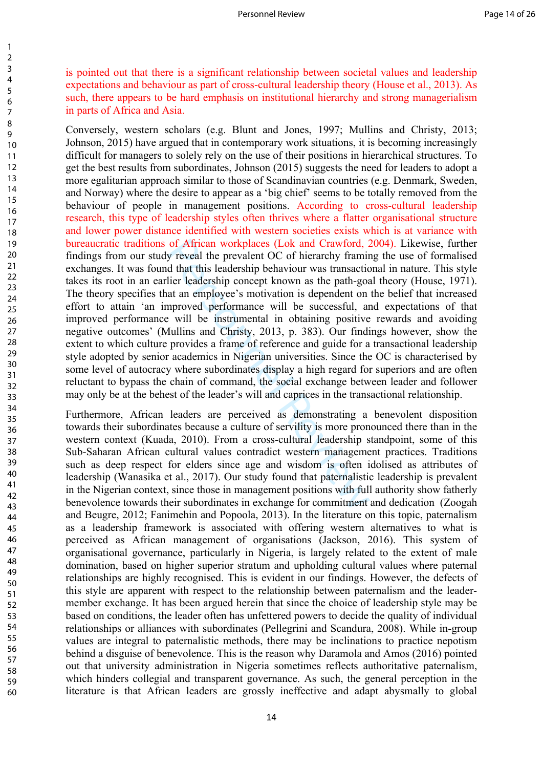is pointed out that there is a significant relationship between societal values and leadership expectations and behaviour as part of cross-cultural leadership theory (House et al., 2013). As such, there appears to be hard emphasis on institutional hierarchy and strong managerialism in parts of Africa and Asia.

of African workplaces (Lok and Crawford, 2<br>y reveal the prevalent OC of hierarchy framind that this leadership behaviour was transactic<br>lier leadership concept known as the path-goat an employee's motivation is dependent Conversely, western scholars (e.g. Blunt and Jones, 1997; Mullins and Christy, 2013; Johnson, 2015) have argued that in contemporary work situations, it is becoming increasingly difficult for managers to solely rely on the use of their positions in hierarchical structures. To get the best results from subordinates, Johnson (2015) suggests the need for leaders to adopt a more egalitarian approach similar to those of Scandinavian countries (e.g. Denmark, Sweden, and Norway) where the desire to appear as a 'big chief' seems to be totally removed from the behaviour of people in management positions. According to cross-cultural leadership research, this type of leadership styles often thrives where a flatter organisational structure and lower power distance identified with western societies exists which is at variance with bureaucratic traditions of African workplaces (Lok and Crawford, 2004). Likewise, further findings from our study reveal the prevalent OC of hierarchy framing the use of formalised exchanges. It was found that this leadership behaviour was transactional in nature. This style takes its root in an earlier leadership concept known as the path-goal theory (House, 1971). The theory specifies that an employee's motivation is dependent on the belief that increased effort to attain 'an improved performance will be successful, and expectations of that improved performance will be instrumental in obtaining positive rewards and avoiding negative outcomes' (Mullins and Christy, 2013, p. 383). Our findings however, show the extent to which culture provides a frame of reference and guide for a transactional leadership style adopted by senior academics in Nigerian universities. Since the OC is characterised by some level of autocracy where subordinates display a high regard for superiors and are often reluctant to bypass the chain of command, the social exchange between leader and follower may only be at the behest of the leader's will and caprices in the transactional relationship.

Furthermore, African leaders are perceived as demonstrating a benevolent disposition towards their subordinates because a culture of servility is more pronounced there than in the western context (Kuada, 2010). From a cross-cultural leadership standpoint, some of this Sub-Saharan African cultural values contradict western management practices. Traditions such as deep respect for elders since age and wisdom is often idolised as attributes of leadership (Wanasika et al., 2017). Our study found that paternalistic leadership is prevalent in the Nigerian context, since those in management positions with full authority show fatherly benevolence towards their subordinates in exchange for commitment and dedication (Zoogah and Beugre, 2012; Fanimehin and Popoola, 2013). In the literature on this topic, paternalism as a leadership framework is associated with offering western alternatives to what is perceived as African management of organisations (Jackson, 2016). This system of organisational governance, particularly in Nigeria, is largely related to the extent of male domination, based on higher superior stratum and upholding cultural values where paternal relationships are highly recognised. This is evident in our findings. However, the defects of this style are apparent with respect to the relationship between paternalism and the leadermember exchange. It has been argued herein that since the choice of leadership style may be based on conditions, the leader often has unfettered powers to decide the quality of individual relationships or alliances with subordinates (Pellegrini and Scandura, 2008). While in-group values are integral to paternalistic methods, there may be inclinations to practice nepotism behind a disguise of benevolence. This is the reason why Daramola and Amos (2016) pointed out that university administration in Nigeria sometimes reflects authoritative paternalism, which hinders collegial and transparent governance. As such, the general perception in the literature is that African leaders are grossly ineffective and adapt abysmally to global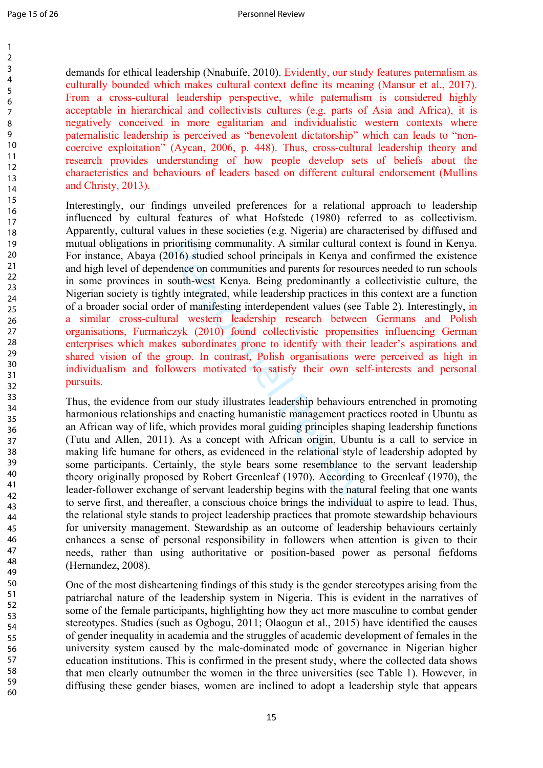demands for ethical leadership (Nnabuife, 2010). Evidently, our study features paternalism as culturally bounded which makes cultural context define its meaning (Mansur et al., 2017). From a cross-cultural leadership perspective, while paternalism is considered highly acceptable in hierarchical and collectivists cultures (e.g. parts of Asia and Africa), it is negatively conceived in more egalitarian and individualistic western contexts where paternalistic leadership is perceived as "benevolent dictatorship" which can leads to "noncoercive exploitation" (Aycan, 2006, p. 448). Thus, cross-cultural leadership theory and research provides understanding of how people develop sets of beliefs about the characteristics and behaviours of leaders based on different cultural endorsement (Mullins and Christy, 2013).

prioritising communality. A similar cultural co.<br>
2016) studied school principals in Kenya and<br>
dence on communities and parents for resourc<br>
south-west Kenya. Being predominantly a c<br>
trive integrated, while leadership pr Interestingly, our findings unveiled preferences for a relational approach to leadership influenced by cultural features of what Hofstede (1980) referred to as collectivism. Apparently, cultural values in these societies (e.g. Nigeria) are characterised by diffused and mutual obligations in prioritising communality. A similar cultural context is found in Kenya. For instance, Abaya (2016) studied school principals in Kenya and confirmed the existence and high level of dependence on communities and parents for resources needed to run schools in some provinces in south-west Kenya. Being predominantly a collectivistic culture, the Nigerian society is tightly integrated, while leadership practices in this context are a function of a broader social order of manifesting interdependent values (see Table 2). Interestingly, in a similar cross-cultural western leadership research between Germans and Polish organisations, Furmańczyk (2010) found collectivistic propensities influencing German enterprises which makes subordinates prone to identify with their leader's aspirations and shared vision of the group. In contrast, Polish organisations were perceived as high in individualism and followers motivated to satisfy their own self-interests and personal pursuits.

Thus, the evidence from our study illustrates leadership behaviours entrenched in promoting harmonious relationships and enacting humanistic management practices rooted in Ubuntu as an African way of life, which provides moral guiding principles shaping leadership functions (Tutu and Allen, 2011). As a concept with African origin, Ubuntu is a call to service in making life humane for others, as evidenced in the relational style of leadership adopted by some participants. Certainly, the style bears some resemblance to the servant leadership theory originally proposed by Robert Greenleaf (1970). According to Greenleaf (1970), the leader-follower exchange of servant leadership begins with the natural feeling that one wants to serve first, and thereafter, a conscious choice brings the individual to aspire to lead. Thus, the relational style stands to project leadership practices that promote stewardship behaviours for university management. Stewardship as an outcome of leadership behaviours certainly enhances a sense of personal responsibility in followers when attention is given to their needs, rather than using authoritative or position-based power as personal fiefdoms (Hernandez, 2008).

One of the most disheartening findings of this study is the gender stereotypes arising from the patriarchal nature of the leadership system in Nigeria. This is evident in the narratives of some of the female participants, highlighting how they act more masculine to combat gender stereotypes. Studies (such as Ogbogu, 2011; Olaogun et al., 2015) have identified the causes of gender inequality in academia and the struggles of academic development of females in the university system caused by the male-dominated mode of governance in Nigerian higher education institutions. This is confirmed in the present study, where the collected data shows that men clearly outnumber the women in the three universities (see Table 1). However, in diffusing these gender biases, women are inclined to adopt a leadership style that appears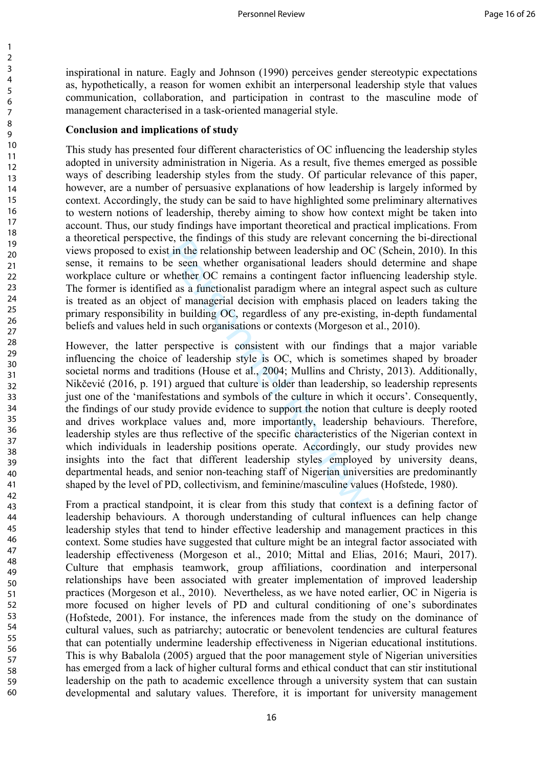inspirational in nature. Eagly and Johnson (1990) perceives gender stereotypic expectations as, hypothetically, a reason for women exhibit an interpersonal leadership style that values communication, collaboration, and participation in contrast to the masculine mode of management characterised in a task-oriented managerial style.

#### **Conclusion and implications of study**

This study has presented four different characteristics of OC influencing the leadership styles adopted in university administration in Nigeria. As a result, five themes emerged as possible ways of describing leadership styles from the study. Of particular relevance of this paper, however, are a number of persuasive explanations of how leadership is largely informed by context. Accordingly, the study can be said to have highlighted some preliminary alternatives to western notions of leadership, thereby aiming to show how context might be taken into account. Thus, our study findings have important theoretical and practical implications. From a theoretical perspective, the findings of this study are relevant concerning the bi-directional views proposed to exist in the relationship between leadership and OC (Schein, 2010). In this sense, it remains to be seen whether organisational leaders should determine and shape workplace culture or whether OC remains a contingent factor influencing leadership style. The former is identified as a functionalist paradigm where an integral aspect such as culture is treated as an object of managerial decision with emphasis placed on leaders taking the primary responsibility in building OC, regardless of any pre-existing, in-depth fundamental beliefs and values held in such organisations or contexts (Morgeson et al., 2010).

et, the indings of unstangular celevant content in the relationship between leadership and O<br>of even whether organisational leaders should whether OC remains a contingent factor influd as a functionalist paradigm where an However, the latter perspective is consistent with our findings that a major variable influencing the choice of leadership style is OC, which is sometimes shaped by broader societal norms and traditions (House et al., 2004; Mullins and Christy, 2013). Additionally, Nikčević (2016, p. 191) argued that culture is older than leadership, so leadership represents just one of the 'manifestations and symbols of the culture in which it occurs'. Consequently, the findings of our study provide evidence to support the notion that culture is deeply rooted and drives workplace values and, more importantly, leadership behaviours. Therefore, leadership styles are thus reflective of the specific characteristics of the Nigerian context in which individuals in leadership positions operate. Accordingly, our study provides new insights into the fact that different leadership styles employed by university deans, departmental heads, and senior non-teaching staff of Nigerian universities are predominantly shaped by the level of PD, collectivism, and feminine/masculine values (Hofstede, 1980).

From a practical standpoint, it is clear from this study that context is a defining factor of leadership behaviours. A thorough understanding of cultural influences can help change leadership styles that tend to hinder effective leadership and management practices in this context. Some studies have suggested that culture might be an integral factor associated with leadership effectiveness (Morgeson et al., 2010; Mittal and Elias, 2016; Mauri, 2017). Culture that emphasis teamwork, group affiliations, coordination and interpersonal relationships have been associated with greater implementation of improved leadership practices (Morgeson et al., 2010). Nevertheless, as we have noted earlier, OC in Nigeria is more focused on higher levels of PD and cultural conditioning of one's subordinates (Hofstede, 2001). For instance, the inferences made from the study on the dominance of cultural values, such as patriarchy; autocratic or benevolent tendencies are cultural features that can potentially undermine leadership effectiveness in Nigerian educational institutions. This is why Babalola (2005) argued that the poor management style of Nigerian universities has emerged from a lack of higher cultural forms and ethical conduct that can stir institutional leadership on the path to academic excellence through a university system that can sustain developmental and salutary values. Therefore, it is important for university management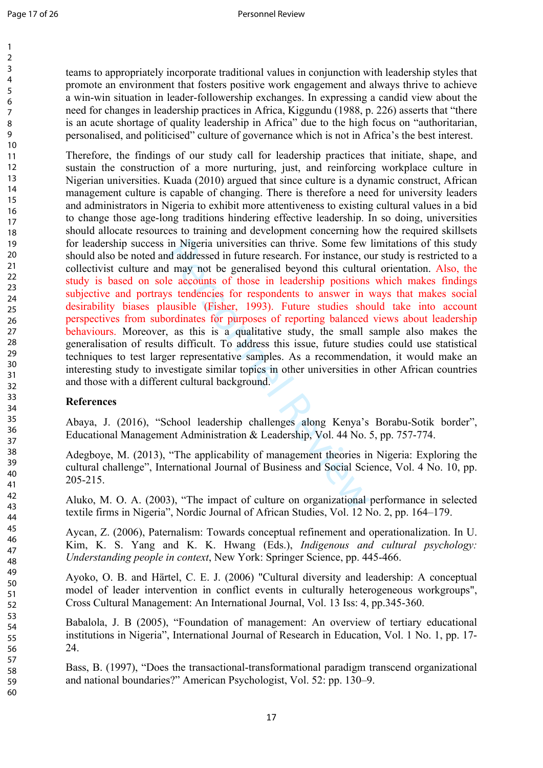teams to appropriately incorporate traditional values in conjunction with leadership styles that promote an environment that fosters positive work engagement and always thrive to achieve a win-win situation in leader-followership exchanges. In expressing a candid view about the need for changes in leadership practices in Africa, Kiggundu (1988, p. 226) asserts that "there is an acute shortage of quality leadership in Africa" due to the high focus on "authoritarian, personalised, and politicised" culture of governance which is not in Africa's the best interest.

in Nigeria universities can thrive. Some few<br>d addressed in future research. For instance, or<br>H may not be generalised beyond this cultura<br>le accounts of those in leadership positions<br>s tendencies for respondents to answe Therefore, the findings of our study call for leadership practices that initiate, shape, and sustain the construction of a more nurturing, just, and reinforcing workplace culture in Nigerian universities. Kuada (2010) argued that since culture is a dynamic construct, African management culture is capable of changing. There is therefore a need for university leaders and administrators in Nigeria to exhibit more attentiveness to existing cultural values in a bid to change those age-long traditions hindering effective leadership. In so doing, universities should allocate resources to training and development concerning how the required skillsets for leadership success in Nigeria universities can thrive. Some few limitations of this study should also be noted and addressed in future research. For instance, our study is restricted to a collectivist culture and may not be generalised beyond this cultural orientation. Also, the study is based on sole accounts of those in leadership positions which makes findings subjective and portrays tendencies for respondents to answer in ways that makes social desirability biases plausible (Fisher, 1993). Future studies should take into account perspectives from subordinates for purposes of reporting balanced views about leadership behaviours. Moreover, as this is a qualitative study, the small sample also makes the generalisation of results difficult. To address this issue, future studies could use statistical techniques to test larger representative samples. As a recommendation, it would make an interesting study to investigate similar topics in other universities in other African countries and those with a different cultural background.

### **References**

Abaya, J. (2016), "School leadership challenges along Kenya's Borabu-Sotik border", Educational Management Administration & Leadership, Vol. 44 No. 5, pp. 757-774.

Adegboye, M. (2013), "The applicability of management theories in Nigeria: Exploring the cultural challenge", International Journal of Business and Social Science, Vol. 4 No. 10, pp. 205-215.

Aluko, M. O. A. (2003), "The impact of culture on organizational performance in selected textile firms in Nigeria", Nordic Journal of African Studies, Vol. 12 No. 2, pp. 164–179.

Aycan, Z. (2006), Paternalism: Towards conceptual refinement and operationalization. In U. Kim, K. S. Yang and K. K. Hwang (Eds.), *Indigenous and cultural psychology: Understanding people in context*, New York: Springer Science, pp. 445-466.

Ayoko, O. B. and Härtel, C. E. J. (2006) "Cultural diversity and leadership: A conceptual model of leader intervention in conflict events in culturally heterogeneous workgroups", Cross Cultural Management: An International Journal, Vol. 13 Iss: 4, pp.345-360.

Babalola, J. B (2005), "Foundation of management: An overview of tertiary educational institutions in Nigeria", International Journal of Research in Education, Vol. 1 No. 1, pp. 17- 24.

Bass, B. (1997), "Does the transactional-transformational paradigm transcend organizational and national boundaries?" American Psychologist, Vol. 52: pp. 130–9.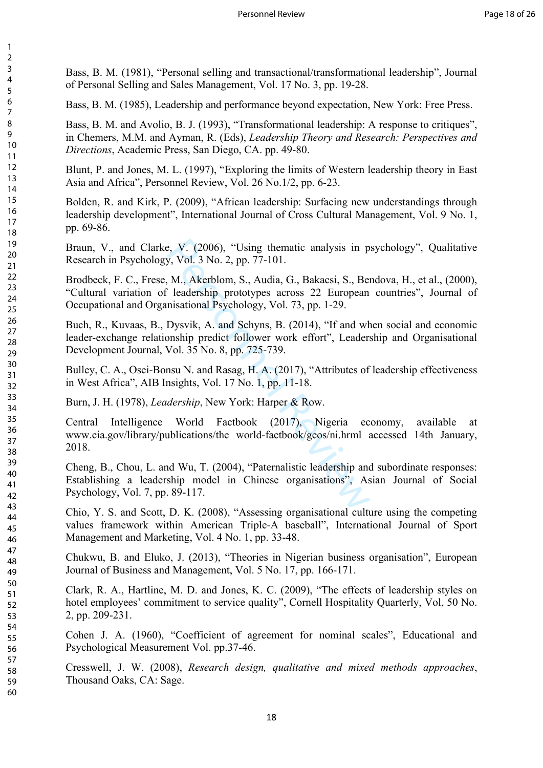Bass, B. M. (1981), "Personal selling and transactional/transformational leadership", Journal of Personal Selling and Sales Management, Vol. 17 No. 3, pp. 19-28.

Bass, B. M. (1985), Leadership and performance beyond expectation, New York: Free Press.

Bass, B. M. and Avolio, B. J. (1993), "Transformational leadership: A response to critiques". in Chemers, M.M. and Ayman, R. (Eds), *Leadership Theory and Research: Perspectives and Directions*, Academic Press, San Diego, CA. pp. 49-80.

Blunt, P. and Jones, M. L. (1997), "Exploring the limits of Western leadership theory in East Asia and Africa", Personnel Review, Vol. 26 No.1/2, pp. 6-23.

Bolden, R. and Kirk, P. (2009), "African leadership: Surfacing new understandings through leadership development", International Journal of Cross Cultural Management, Vol. 9 No. 1, pp. 69-86.

Braun, V., and Clarke, V. (2006), "Using thematic analysis in psychology", Qualitative Research in Psychology, Vol. 3 No. 2, pp. 77-101.

Brodbeck, F. C., Frese, M., Akerblom, S., Audia, G., Bakacsi, S., Bendova, H., et al., (2000), "Cultural variation of leadership prototypes across 22 European countries", Journal of Occupational and Organisational Psychology, Vol. 73, pp. 1-29.

Buch, R., Kuvaas, B., Dysvik, A. and Schyns, B. (2014), "If and when social and economic leader-exchange relationship predict follower work effort", Leadership and Organisational Development Journal, Vol. 35 No. 8, pp. 725-739.

Bulley, C. A., Osei-Bonsu N. and Rasag, H. A. (2017), "Attributes of leadership effectiveness in West Africa", AIB Insights, Vol. 17 No. 1, pp. 11-18.

Burn, J. H. (1978), *Leadership*, New York: Harper & Row.

e, V. (2006), "Using thematic analysis in p<br>y, Vol. 3 No. 2, pp. 77-101.<br>M., Akerblom, S., Audia, G., Bakacsi, S., Be:<br>leadership prototypes across 22 European<br>nisational Psychology, Vol. 73, pp. 1-29.<br>Dysvik, A. and Schy Central Intelligence World Factbook (2017), Nigeria economy, available at www.cia.gov/library/publications/the world-factbook/geos/ni.hrml accessed 14th January, 2018.

Cheng, B., Chou, L. and Wu, T. (2004), "Paternalistic leadership and subordinate responses: Establishing a leadership model in Chinese organisations", Asian Journal of Social Psychology, Vol. 7, pp. 89-117.

Chio, Y. S. and Scott, D. K. (2008), "Assessing organisational culture using the competing values framework within American Triple-A baseball", International Journal of Sport Management and Marketing, Vol. 4 No. 1, pp. 33-48.

Chukwu, B. and Eluko, J. (2013), "Theories in Nigerian business organisation", European Journal of Business and Management, Vol. 5 No. 17, pp. 166-171.

Clark, R. A., Hartline, M. D. and Jones, K. C. (2009), "The effects of leadership styles on hotel employees' commitment to service quality", Cornell Hospitality Quarterly, Vol, 50 No. 2, pp. 209-231.

Cohen J. A. (1960), "Coefficient of agreement for nominal scales", Educational and Psychological Measurement Vol. pp.37-46.

Cresswell, J. W. (2008), *Research design, qualitative and mixed methods approaches*, Thousand Oaks, CA: Sage.

 $\mathbf{1}$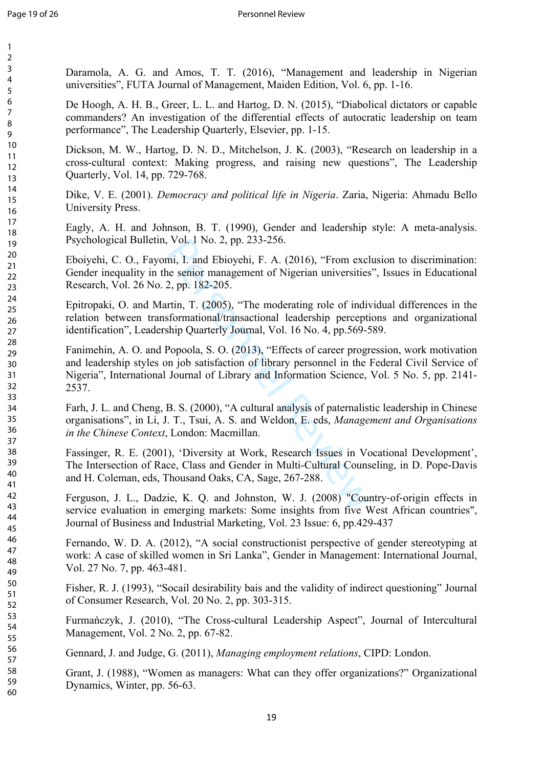$\mathbf{1}$  $\overline{2}$  $\overline{3}$  $\overline{4}$ 5 6  $\overline{7}$ 8 9

Daramola, A. G. and Amos, T. T. (2016), "Management and leadership in Nigerian universities", FUTA Journal of Management, Maiden Edition, Vol. 6, pp. 1-16.

De Hoogh, A. H. B., Greer, L. L. and Hartog, D. N. (2015), "Diabolical dictators or capable commanders? An investigation of the differential effects of autocratic leadership on team performance", The Leadership Quarterly, Elsevier, pp. 1-15.

Dickson, M. W., Hartog, D. N. D., Mitchelson, J. K. (2003), "Research on leadership in a cross-cultural context: Making progress, and raising new questions", The Leadership Quarterly, Vol. 14, pp. 729-768.

Dike, V. E. (2001). *Democracy and political life in Nigeria*. Zaria, Nigeria: Ahmadu Bello University Press.

Eagly, A. H. and Johnson, B. T. (1990), Gender and leadership style: A meta-analysis. Psychological Bulletin, Vol. 1 No. 2, pp. 233-256.

Eboiyehi, C. O., Fayomi, I. and Ebioyehi, F. A. (2016), "From exclusion to discrimination: Gender inequality in the senior management of Nigerian universities", Issues in Educational Research, Vol. 26 No. 2, pp. 182-205.

Epitropaki, O. and Martin, T. (2005), "The moderating role of individual differences in the relation between transformational/transactional leadership perceptions and organizational identification", Leadership Quarterly Journal, Vol. 16 No. 4, pp.569-589.

vol. 1 No. 2, pp. 233-256.<br>
mi, I. and Ebioyehi, F. A. (2016), "From exclue senior management of Nigerian universities<br>
2, pp. 182-205.<br>
rtin, T. (2005), "The moderating role of indiversities<br>
formational/transactional lea Fanimehin, A. O. and Popoola, S. O. (2013), "Effects of career progression, work motivation and leadership styles on job satisfaction of library personnel in the Federal Civil Service of Nigeria", International Journal of Library and Information Science, Vol. 5 No. 5, pp. 2141- 2537.

Farh, J. L. and Cheng, B. S. (2000), "A cultural analysis of paternalistic leadership in Chinese organisations", in Li, J. T., Tsui, A. S. and Weldon, E. eds, *Management and Organisations in the Chinese Context*, London: Macmillan.

Fassinger, R. E. (2001), 'Diversity at Work, Research Issues in Vocational Development', The Intersection of Race, Class and Gender in Multi-Cultural Counseling, in D. Pope-Davis and H. Coleman, eds, Thousand Oaks, CA, Sage, 267-288.

Ferguson, J. L., Dadzie, K. Q. and Johnston, W. J. (2008) "Country-of-origin effects in service evaluation in emerging markets: Some insights from five West African countries", Journal of Business and Industrial Marketing, Vol. 23 Issue: 6, pp.429-437

Fernando, W. D. A. (2012), "A social constructionist perspective of gender stereotyping at work: A case of skilled women in Sri Lanka", Gender in Management: International Journal, Vol. 27 No. 7, pp. 463-481.

Fisher, R. J. (1993), "Socail desirability bais and the validity of indirect questioning" Journal of Consumer Research, Vol. 20 No. 2, pp. 303-315.

Furmańczyk, J. (2010), "The Cross-cultural Leadership Aspect", Journal of Intercultural Management, Vol. 2 No. 2, pp. 67-82.

Gennard, J. and Judge, G. (2011), *Managing employment relations*, CIPD: London.

Grant, J. (1988), "Women as managers: What can they offer organizations?" Organizational Dynamics, Winter, pp. 56-63.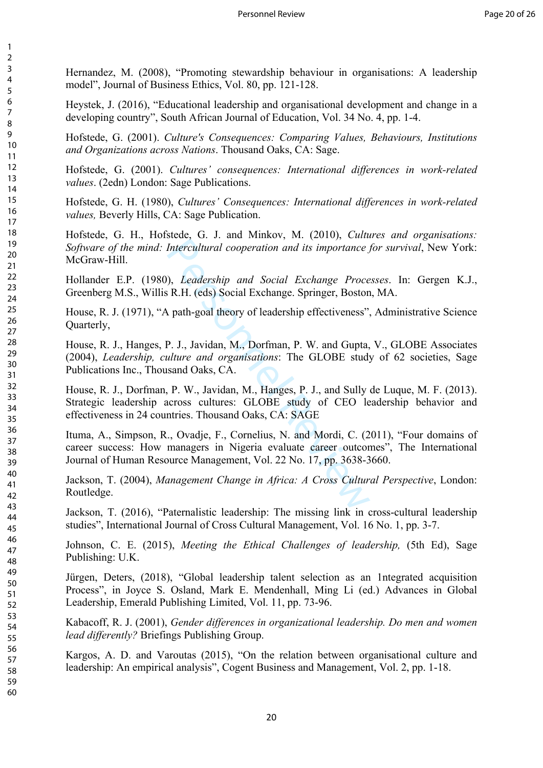Hernandez, M. (2008), "Promoting stewardship behaviour in organisations: A leadership model", Journal of Business Ethics, Vol. 80, pp. 121-128.

Heystek, J. (2016), "Educational leadership and organisational development and change in a developing country", South African Journal of Education, Vol. 34 No. 4, pp. 1-4.

Hofstede, G. (2001). *Culture's Consequences: Comparing Values, Behaviours, Institutions and Organizations across Nations*. Thousand Oaks, CA: Sage.

Hofstede, G. (2001). *Cultures' consequences: International differences in work-related values*. (2edn) London: Sage Publications.

Hofstede, G. H. (1980), *Cultures' Consequences: International differences in work-related values,* Beverly Hills, CA: Sage Publication.

Hofstede, G. H., Hofstede, G. J. and Minkov, M. (2010), *Cultures and organisations: Software of the mind: Intercultural cooperation and its importance for survival*, New York: McGraw-Hill.

Hollander E.P. (1980), *Leadership and Social Exchange Processes*. In: Gergen K.J., Greenberg M.S., Willis R.H. (eds) Social Exchange. Springer, Boston, MA.

House, R. J. (1971), "A path-goal theory of leadership effectiveness", Administrative Science Quarterly,

House, R. J., Hanges, P. J., Javidan, M., Dorfman, P. W. and Gupta, V., GLOBE Associates (2004), *Leadership, culture and organisations*: The GLOBE study of 62 societies, Sage Publications Inc., Thousand Oaks, CA.

Intercultural cooperation and its importance j<br>
(i), Leadership and Social Exchange Proce<br>
R.H. (eds) Social Exchange. Springer, Boston<br>
(i) path-goal theory of leadership effectiveness",<br>
P. J., Javidan, M., Dorfman, P. W House, R. J., Dorfman, P. W., Javidan, M., Hanges, P. J., and Sully de Luque, M. F. (2013). Strategic leadership across cultures: GLOBE study of CEO leadership behavior and effectiveness in 24 countries. Thousand Oaks, CA: SAGE

Ituma, A., Simpson, R., Ovadje, F., Cornelius, N. and Mordi, C. (2011), "Four domains of career success: How managers in Nigeria evaluate career outcomes", The International Journal of Human Resource Management, Vol. 22 No. 17, pp. 3638-3660.

Jackson, T. (2004), *Management Change in Africa: A Cross Cultural Perspective*, London: Routledge.

Jackson, T. (2016), "Paternalistic leadership: The missing link in cross-cultural leadership studies", International Journal of Cross Cultural Management, Vol. 16 No. 1, pp. 3-7.

Johnson, C. E. (2015), *Meeting the Ethical Challenges of leadership,* (5th Ed), Sage Publishing: U.K.

Jürgen, Deters, (2018), "Global leadership talent selection as an 1ntegrated acquisition Process", in Joyce S. Osland, Mark E. Mendenhall, Ming Li (ed.) Advances in Global Leadership, Emerald Publishing Limited, Vol. 11, pp. 73-96.

Kabacoff, R. J. (2001), *Gender differences in organizational leadership. Do men and women lead differently?* Briefings Publishing Group.

Kargos, A. D. and Varoutas (2015), "On the relation between organisational culture and leadership: An empirical analysis", Cogent Business and Management, Vol. 2, pp. 1-18.

 $\mathbf{1}$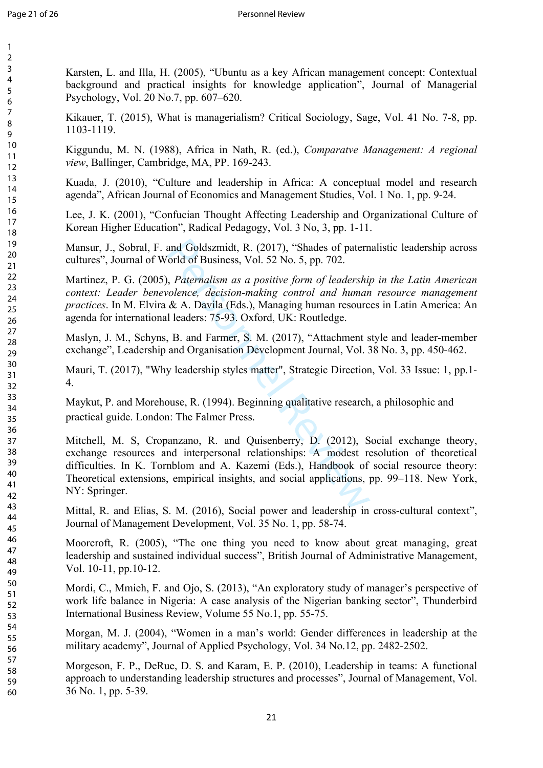> 59 60

Karsten, L. and Illa, H. (2005), "Ubuntu as a key African management concept: Contextual background and practical insights for knowledge application", Journal of Managerial Psychology, Vol. 20 No.7, pp. 607–620.

Kikauer, T. (2015), What is managerialism? Critical Sociology, Sage, Vol. 41 No. 7-8, pp. 1103-1119.

Kiggundu, M. N. (1988), Africa in Nath, R. (ed.), *Comparatve Management: A regional view*, Ballinger, Cambridge, MA, PP. 169-243.

Kuada, J. (2010), "Culture and leadership in Africa: A conceptual model and research agenda", African Journal of Economics and Management Studies, Vol. 1 No. 1, pp. 9-24.

Lee, J. K. (2001), "Confucian Thought Affecting Leadership and Organizational Culture of Korean Higher Education", Radical Pedagogy, Vol. 3 No, 3, pp. 1-11.

Mansur, J., Sobral, F. and Goldszmidt, R. (2017), "Shades of paternalistic leadership across cultures", Journal of World of Business, Vol. 52 No. 5, pp. 702.

Martinez, P. G. (2005), *Paternalism as a positive form of leadership in the Latin American context: Leader benevolence, decision-making control and human resource management practices*. In M. Elvira & A. Davila (Eds.), Managing human resources in Latin America: An agenda for international leaders: 75-93. Oxford, UK: Routledge.

Maslyn, J. M., Schyns, B. and Farmer, S. M. (2017), "Attachment style and leader-member exchange", Leadership and Organisation Development Journal, Vol. 38 No. 3, pp. 450-462.

Mauri, T. (2017), "Why leadership styles matter", Strategic Direction, Vol. 33 Issue: 1, pp.1- 4.

Maykut, P. and Morehouse, R. (1994). Beginning qualitative research, a philosophic and practical guide. London: The Falmer Press.

and Goldszmidt, R. (2017), "Shades of patern<br>
orld of Business, Vol. 52 No. 5, pp. 702.<br>
, *Paternalism as a positive form of leadership*<br> *olence, decision-making control and human*<br>
& A. Davila (Eds.), Managing human res Mitchell, M. S, Cropanzano, R. and Quisenberry, D. (2012), Social exchange theory, exchange resources and interpersonal relationships: A modest resolution of theoretical difficulties. In K. Tornblom and A. Kazemi (Eds.), Handbook of social resource theory: Theoretical extensions, empirical insights, and social applications, pp. 99–118. New York, NY: Springer.

Mittal, R. and Elias, S. M. (2016), Social power and leadership in cross-cultural context", Journal of Management Development, Vol. 35 No. 1, pp. 58-74.

Moorcroft, R. (2005), "The one thing you need to know about great managing, great leadership and sustained individual success", British Journal of Administrative Management, Vol. 10-11, pp.10-12.

Mordi, C., Mmieh, F. and Ojo, S. (2013), "An exploratory study of manager's perspective of work life balance in Nigeria: A case analysis of the Nigerian banking sector", Thunderbird International Business Review, Volume 55 No.1, pp. 55-75.

Morgan, M. J. (2004), "Women in a man's world: Gender differences in leadership at the military academy", Journal of Applied Psychology, Vol. 34 No.12, pp. 2482-2502.

Morgeson, F. P., DeRue, D. S. and Karam, E. P. (2010), Leadership in teams: A functional approach to understanding leadership structures and processes", Journal of Management, Vol. 36 No. 1, pp. 5-39.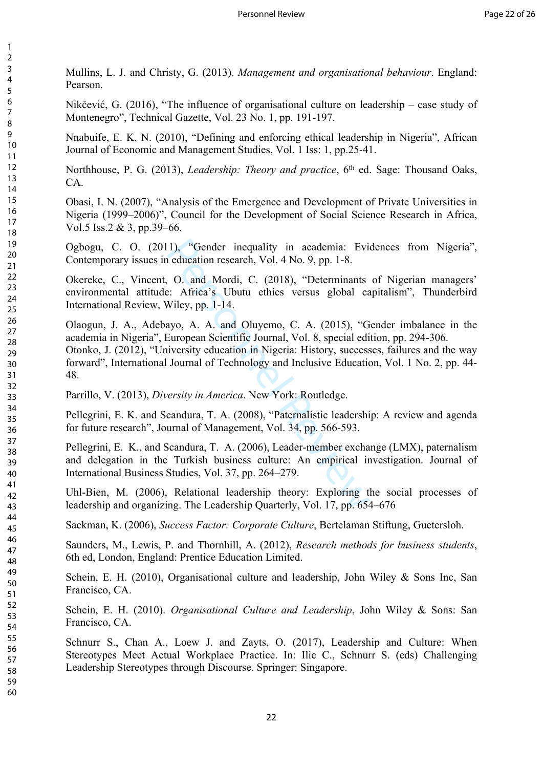Mullins, L. J. and Christy, G. (2013). *Management and organisational behaviour*. England: Pearson.

Nikčević, G. (2016), "The influence of organisational culture on leadership – case study of Montenegro", Technical Gazette, Vol. 23 No. 1, pp. 191-197.

Nnabuife, E. K. N. (2010), "Defining and enforcing ethical leadership in Nigeria", African Journal of Economic and Management Studies, Vol. 1 Iss: 1, pp.25-41.

Northhouse, P. G. (2013), *Leadership: Theory and practice*, 6<sup>th</sup> ed. Sage: Thousand Oaks, CA.

Obasi, I. N. (2007), "Analysis of the Emergence and Development of Private Universities in Nigeria (1999–2006)", Council for the Development of Social Science Research in Africa, Vol.5 Iss.2 & 3, pp.39–66.

Ogbogu, C. O. (2011), "Gender inequality in academia: Evidences from Nigeria", Contemporary issues in education research, Vol. 4 No. 9, pp. 1-8.

Okereke, C., Vincent, O. and Mordi, C. (2018), "Determinants of Nigerian managers' environmental attitude: Africa's Ubutu ethics versus global capitalism", Thunderbird International Review, Wiley, pp. 1-14.

1), "Gender inequality in academia: Evi<br>
education research, Vol. 4 No. 9, pp. 1-8.<br>
0. and Mordi, C. (2018), "Determinants<br>
2: Africa's Ubutu ethics versus global ca<br>
2: Africa's Ubutu ethics versus global ca<br>
2: Africa's Olaogun, J. A., Adebayo, A. A. and Oluyemo, C. A. (2015), "Gender imbalance in the academia in Nigeria", European Scientific Journal, Vol. 8, special edition, pp. 294-306. Otonko, J. (2012), "University education in Nigeria: History, successes, failures and the way forward", International Journal of Technology and Inclusive Education, Vol. 1 No. 2, pp. 44- 48.

Parrillo, V. (2013), *Diversity in America*. New York: Routledge.

Pellegrini, E. K. and Scandura, T. A. (2008), "Paternalistic leadership: A review and agenda for future research", Journal of Management, Vol. 34, pp. 566-593.

Pellegrini, E. K., and Scandura, T. A. (2006), Leader-member exchange (LMX), paternalism and delegation in the Turkish business culture: An empirical investigation. Journal of International Business Studies, Vol. 37, pp. 264–279.

Uhl-Bien, M. (2006), Relational leadership theory: Exploring the social processes of leadership and organizing. The Leadership Quarterly, Vol. 17, pp. 654–676

Sackman, K. (2006), *Success Factor: Corporate Culture*, Bertelaman Stiftung, Guetersloh.

Saunders, M., Lewis, P. and Thornhill, A. (2012), *Research methods for business students*, 6th ed, London, England: Prentice Education Limited.

Schein, E. H. (2010), Organisational culture and leadership, John Wiley & Sons Inc, San Francisco, CA.

Schein, E. H. (2010). *Organisational Culture and Leadership*, John Wiley & Sons: San Francisco, CA.

Schnurr S., Chan A., Loew J. and Zayts, O. (2017), Leadership and Culture: When Stereotypes Meet Actual Workplace Practice. In: Ilie C., Schnurr S. (eds) Challenging Leadership Stereotypes through Discourse. Springer: Singapore.

 $\mathbf{1}$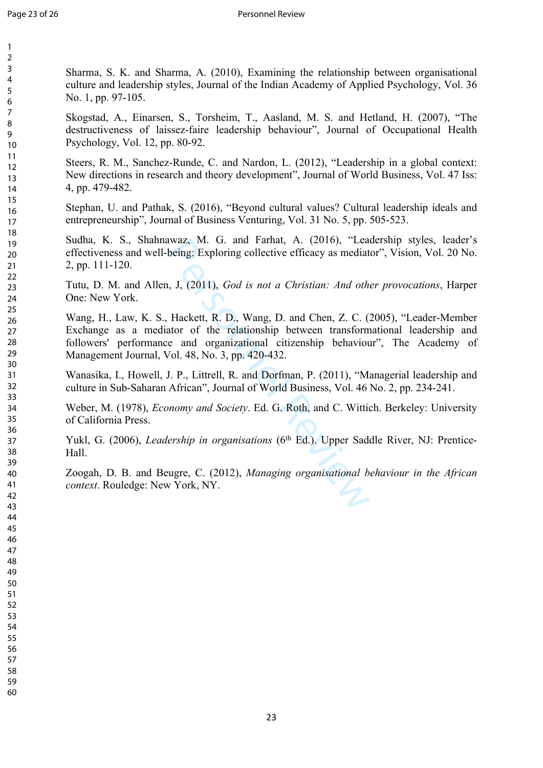Sharma, S. K. and Sharma, A. (2010), Examining the relationship between organisational culture and leadership styles, Journal of the Indian Academy of Applied Psychology, Vol. 36 No. 1, pp. 97-105.

Skogstad, A., Einarsen, S., Torsheim, T., Aasland, M. S. and Hetland, H. (2007), "The destructiveness of laissez-faire leadership behaviour", Journal of Occupational Health Psychology, Vol. 12, pp. 80-92.

Steers, R. M., Sanchez-Runde, C. and Nardon, L. (2012), "Leadership in a global context: New directions in research and theory development", Journal of World Business, Vol. 47 Iss: 4, pp. 479-482.

Stephan, U. and Pathak, S. (2016), "Beyond cultural values? Cultural leadership ideals and entrepreneurship", Journal of Business Venturing, Vol. 31 No. 5, pp. 505-523.

Sudha, K. S., Shahnawaz, M. G. and Farhat, A. (2016), "Leadership styles, leader's effectiveness and well-being: Exploring collective efficacy as mediator", Vision, Vol. 20 No. 2, pp. 111-120.

Tutu, D. M. and Allen, J, (2011), *God is not a Christian: And other provocations*, Harper One: New York.

awaz, M. G. and Farnat, A. (2016), "Leableing: Exploring collective efficacy as mediated being: Exploring collective efficacy as mediated being: Exploring collective efficacy as mediated being: Exploring collective efficac Wang, H., Law, K. S., Hackett, R. D., Wang, D. and Chen, Z. C. (2005), "Leader-Member Exchange as a mediator of the relationship between transformational leadership and followers' performance and organizational citizenship behaviour", The Academy of Management Journal, Vol. 48, No. 3, pp. 420-432.

Wanasika, I., Howell, J. P., Littrell, R. and Dorfman, P. (2011), "Managerial leadership and culture in Sub-Saharan African", Journal of World Business, Vol. 46 No. 2, pp. 234-241.

Weber, M. (1978), *Economy and Society*. Ed. G. Roth, and C. Wittich. Berkeley: University of California Press.

Yukl, G. (2006), *Leadership in organisations* (6<sup>th</sup> Ed.). Upper Saddle River, NJ: Prentice-Hall.

Zoogah, D. B. and Beugre, C. (2012), *Managing organisational behaviour in the African context*. Rouledge: New York, NY.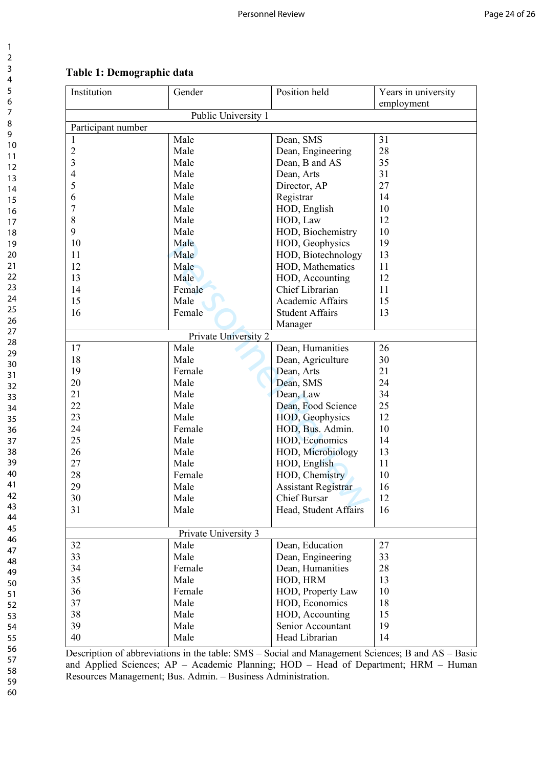| Institution        | Gender               | Position held              | Years in university |  |  |  |  |
|--------------------|----------------------|----------------------------|---------------------|--|--|--|--|
|                    |                      |                            | employment          |  |  |  |  |
|                    | Public University 1  |                            |                     |  |  |  |  |
| Participant number |                      |                            |                     |  |  |  |  |
| 1                  | Male                 | Dean, SMS                  | 31                  |  |  |  |  |
| $\mathfrak{2}$     | Male                 | Dean, Engineering          | 28                  |  |  |  |  |
| $\mathfrak{Z}$     | Male                 | Dean, B and AS             | 35                  |  |  |  |  |
| $\overline{4}$     | Male                 | Dean, Arts                 | 31                  |  |  |  |  |
| 5                  | Male                 | Director, AP               | 27                  |  |  |  |  |
| 6                  | Male                 | Registrar                  | 14                  |  |  |  |  |
| $\boldsymbol{7}$   | Male                 | HOD, English               | 10                  |  |  |  |  |
| $8\,$              | Male                 | HOD, Law                   | 12                  |  |  |  |  |
| 9                  | Male                 | HOD, Biochemistry          | 10                  |  |  |  |  |
| 10                 | Male                 | HOD, Geophysics            | 19                  |  |  |  |  |
| 11                 | Male                 | HOD, Biotechnology         | 13                  |  |  |  |  |
| 12                 | Male                 | HOD, Mathematics           | 11                  |  |  |  |  |
| 13                 | Male                 | HOD, Accounting            | 12                  |  |  |  |  |
| 14                 | Female               | Chief Librarian            | 11                  |  |  |  |  |
| 15                 | Male                 | Academic Affairs           | 15                  |  |  |  |  |
| 16                 | Female               | <b>Student Affairs</b>     | 13                  |  |  |  |  |
|                    |                      | Manager                    |                     |  |  |  |  |
|                    | Private University 2 |                            |                     |  |  |  |  |
| 17                 | Male                 | Dean, Humanities           | 26                  |  |  |  |  |
| 18                 | Male                 | Dean, Agriculture          | 30                  |  |  |  |  |
| 19                 | Female               | Dean, Arts                 | 21                  |  |  |  |  |
| 20                 | Male                 | Dean, SMS                  | 24                  |  |  |  |  |
| 21                 | Male                 | Dean, Law                  | 34                  |  |  |  |  |
| 22                 | Male                 | Dean, Food Science         | 25                  |  |  |  |  |
| 23                 | Male                 | HOD, Geophysics            | 12                  |  |  |  |  |
| 24                 | Female               | HOD, Bus. Admin.           | 10                  |  |  |  |  |
| 25                 | Male                 | HOD, Economics             | 14                  |  |  |  |  |
| 26                 | Male                 | HOD, Microbiology          | 13                  |  |  |  |  |
| 27                 | Male                 |                            | 11                  |  |  |  |  |
| 28                 | Female               | HOD, English               | 10                  |  |  |  |  |
|                    |                      | HOD, Chemistry             |                     |  |  |  |  |
| 29                 | Male                 | <b>Assistant Registrar</b> | 16                  |  |  |  |  |
| 30                 | Male                 | Chief Bursar               | 12                  |  |  |  |  |
| 31                 | Male                 | Head, Student Affairs      | 16                  |  |  |  |  |
|                    | Private University 3 |                            |                     |  |  |  |  |
| 32                 | Male                 | Dean, Education            | 27                  |  |  |  |  |
| 33                 | Male                 | Dean, Engineering          | 33                  |  |  |  |  |
| 34                 | Female               | Dean, Humanities           | 28                  |  |  |  |  |
| 35                 | Male                 | HOD, HRM                   | 13                  |  |  |  |  |
| 36                 | Female               | HOD, Property Law          | 10                  |  |  |  |  |
| 37                 | Male                 | HOD, Economics             | 18                  |  |  |  |  |
| 38                 | Male                 | HOD, Accounting            | 15                  |  |  |  |  |
| 39                 | Male                 | Senior Accountant          | 19                  |  |  |  |  |
| 40                 |                      |                            |                     |  |  |  |  |
|                    | Male                 | Head Librarian             | 14                  |  |  |  |  |

# **Table 1: Demographic data**

Description of abbreviations in the table: SMS – Social and Management Sciences; B and AS – Basic and Applied Sciences; AP – Academic Planning; HOD – Head of Department; HRM – Human Resources Management; Bus. Admin. – Business Administration.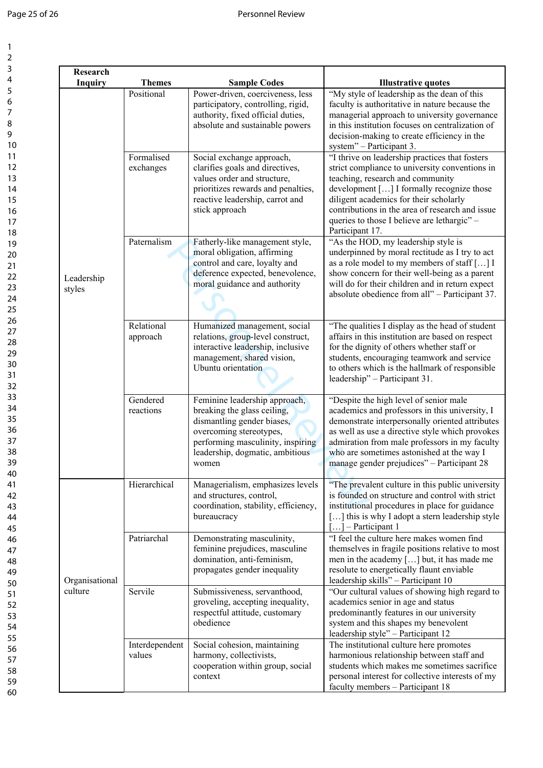$\mathbf{1}$  $\overline{2}$  $\overline{3}$  $\overline{\mathbf{4}}$  $\overline{\mathbf{5}}$  $\overline{6}$  $\overline{7}$  $\bf 8$  $\mathsf g$ 

| Research<br><b>Inquiry</b> | <b>Themes</b>            | <b>Sample Codes</b>                                                                                                                                                                                    | <b>Illustrative quotes</b>                                                                                                                                                                                                                                                                                                                       |
|----------------------------|--------------------------|--------------------------------------------------------------------------------------------------------------------------------------------------------------------------------------------------------|--------------------------------------------------------------------------------------------------------------------------------------------------------------------------------------------------------------------------------------------------------------------------------------------------------------------------------------------------|
| Leadership<br>styles       | Positional               | Power-driven, coerciveness, less<br>participatory, controlling, rigid,<br>authority, fixed official duties,<br>absolute and sustainable powers                                                         | "My style of leadership as the dean of this<br>faculty is authoritative in nature because the<br>managerial approach to university governance<br>in this institution focuses on centralization of<br>decision-making to create efficiency in the<br>system" - Participant 3.                                                                     |
|                            | Formalised<br>exchanges  | Social exchange approach,<br>clarifies goals and directives,<br>values order and structure,<br>prioritizes rewards and penalties,<br>reactive leadership, carrot and<br>stick approach                 | "I thrive on leadership practices that fosters<br>strict compliance to university conventions in<br>teaching, research and community<br>development [] I formally recognize those<br>diligent academics for their scholarly<br>contributions in the area of research and issue<br>queries to those I believe are lethargic" -<br>Participant 17. |
|                            | Paternalism              | Fatherly-like management style,<br>moral obligation, affirming<br>control and care, loyalty and<br>deference expected, benevolence,<br>moral guidance and authority                                    | "As the HOD, my leadership style is<br>underpinned by moral rectitude as I try to act<br>as a role model to my members of staff [] I<br>show concern for their well-being as a parent<br>will do for their children and in return expect<br>absolute obedience from all" - Participant 37.                                                       |
|                            | Relational<br>approach   | Humanized management, social<br>relations, group-level construct,<br>interactive leadership, inclusive<br>management, shared vision,<br>Ubuntu orientation                                             | "The qualities I display as the head of student<br>affairs in this institution are based on respect<br>for the dignity of others whether staff or<br>students, encouraging teamwork and service<br>to others which is the hallmark of responsible<br>leadership" - Participant 31.                                                               |
|                            | Gendered<br>reactions    | Feminine leadership approach,<br>breaking the glass ceiling,<br>dismantling gender biases,<br>overcoming stereotypes,<br>performing masculinity, inspiring<br>leadership, dogmatic, ambitious<br>women | "Despite the high level of senior male<br>academics and professors in this university, I<br>demonstrate interpersonally oriented attributes<br>as well as use a directive style which provokes<br>admiration from male professors in my faculty<br>who are sometimes astonished at the way I<br>manage gender prejudices" - Participant 28       |
| Organisational<br>culture  | Hierarchical             | Managerialism, emphasizes levels<br>and structures, control,<br>coordination, stability, efficiency,<br>bureaucracy                                                                                    | "The prevalent culture in this public university<br>is founded on structure and control with strict<br>institutional procedures in place for guidance<br>[] this is why I adopt a stern leadership style<br>$[]$ – Participant 1                                                                                                                 |
|                            | Patriarchal              | Demonstrating masculinity,<br>feminine prejudices, masculine<br>domination, anti-feminism,<br>propagates gender inequality                                                                             | "I feel the culture here makes women find<br>themselves in fragile positions relative to most<br>men in the academy [] but, it has made me<br>resolute to energetically flaunt enviable<br>leadership skills" - Participant 10                                                                                                                   |
|                            | Servile                  | Submissiveness, servanthood,<br>groveling, accepting inequality,<br>respectful attitude, customary<br>obedience                                                                                        | "Our cultural values of showing high regard to<br>academics senior in age and status<br>predominantly features in our university<br>system and this shapes my benevolent<br>leadership style" - Participant 12                                                                                                                                   |
|                            | Interdependent<br>values | Social cohesion, maintaining<br>harmony, collectivists,<br>cooperation within group, social<br>context                                                                                                 | The institutional culture here promotes<br>harmonious relationship between staff and<br>students which makes me sometimes sacrifice<br>personal interest for collective interests of my<br>faculty members - Participant 18                                                                                                                      |